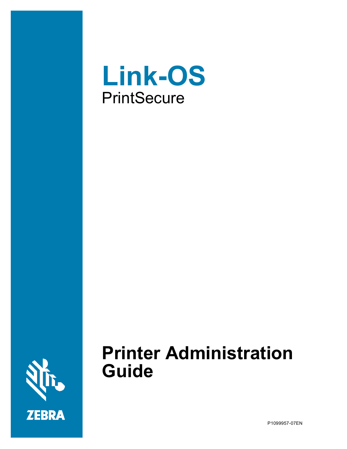



# **Printer Administration Guide**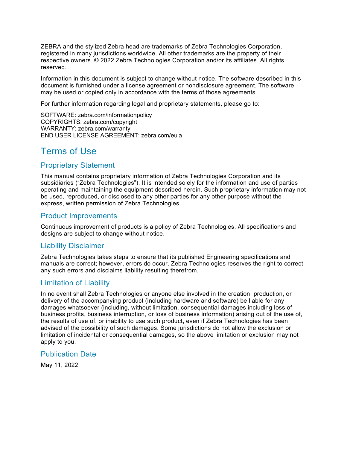ZEBRA and the stylized Zebra head are trademarks of Zebra Technologies Corporation, registered in many jurisdictions worldwide. All other trademarks are the property of their respective owners. © 2022 Zebra Technologies Corporation and/or its affiliates. All rights reserved.

Information in this document is subject to change without notice. The software described in this document is furnished under a license agreement or nondisclosure agreement. The software may be used or copied only in accordance with the terms of those agreements.

For further information regarding legal and proprietary statements, please go to:

SOFTWARE: zebra.com/informationpolicy COPYRIGHTS: zebra.com/copyright WARRANTY: zebra.com/warranty END USER LICENSE AGREEMENT: zebra.com/eula

# <span id="page-1-0"></span>Terms of Use

### <span id="page-1-1"></span>Proprietary Statement

This manual contains proprietary information of Zebra Technologies Corporation and its subsidiaries ("Zebra Technologies"). It is intended solely for the information and use of parties operating and maintaining the equipment described herein. Such proprietary information may not be used, reproduced, or disclosed to any other parties for any other purpose without the express, written permission of Zebra Technologies.

### <span id="page-1-2"></span>Product Improvements

Continuous improvement of products is a policy of Zebra Technologies. All specifications and designs are subject to change without notice.

### <span id="page-1-3"></span>Liability Disclaimer

Zebra Technologies takes steps to ensure that its published Engineering specifications and manuals are correct; however, errors do occur. Zebra Technologies reserves the right to correct any such errors and disclaims liability resulting therefrom.

### <span id="page-1-4"></span>Limitation of Liability

In no event shall Zebra Technologies or anyone else involved in the creation, production, or delivery of the accompanying product (including hardware and software) be liable for any damages whatsoever (including, without limitation, consequential damages including loss of business profits, business interruption, or loss of business information) arising out of the use of, the results of use of, or inability to use such product, even if Zebra Technologies has been advised of the possibility of such damages. Some jurisdictions do not allow the exclusion or limitation of incidental or consequential damages, so the above limitation or exclusion may not apply to you.

### <span id="page-1-5"></span>Publication Date

May 11, 2022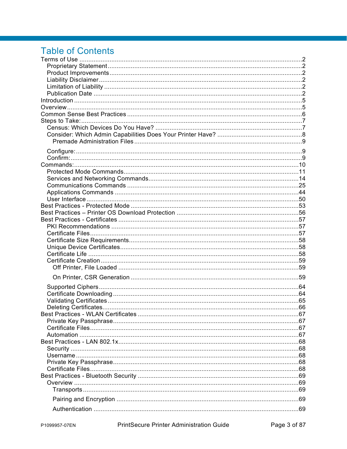# **Table of Contents**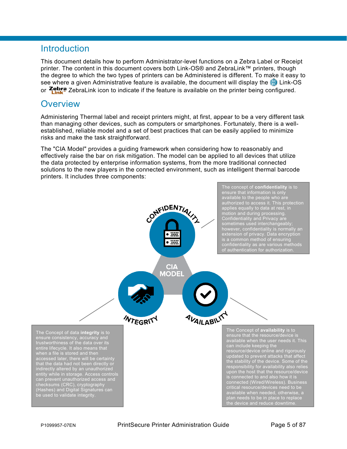# <span id="page-4-0"></span>**Introduction**

This document details how to perform Administrator-level functions on a Zebra Label or Receipt printer. The content in this document covers both Link-OS® and ZebraLink™ printers, though the degree to which the two types of printers can be Administered is different. To make it easy to see where a given Administrative feature is available, the document will display the  $\odot$  Link-OS or  $\frac{7 \text{ebra}}{1 \text{m}}$  ZebraLink icon to indicate if the feature is available on the printer being configured.

# <span id="page-4-1"></span>**Overview**

Administering Thermal label and receipt printers might, at first, appear to be a very different task than managing other devices, such as computers or smartphones. Fortunately, there is a wellestablished, reliable model and a set of best practices that can be easily applied to minimize risks and make the task straightforward.

The "CIA Model" provides a guiding framework when considering how to reasonably and effectively raise the bar on risk mitigation. The model can be applied to all devices that utilize the data protected by enterprise information systems, from the more traditional connected solutions to the new players in the connected environment, such as intelligent thermal barcode printers. It includes three components:

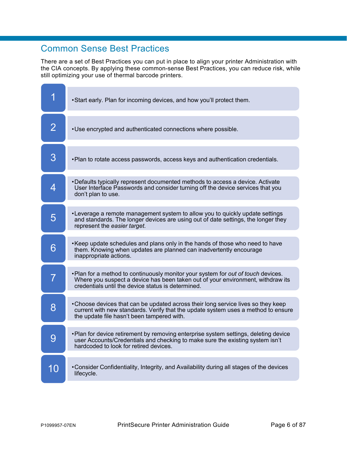# <span id="page-5-0"></span>Common Sense Best Practices

There are a set of Best Practices you can put in place to align your printer Administration with the CIA concepts. By applying these common-sense Best Practices, you can reduce risk, while still optimizing your use of thermal barcode printers.

|                | • Start early. Plan for incoming devices, and how you'll protect them.                                                                                                                                                     |
|----------------|----------------------------------------------------------------------------------------------------------------------------------------------------------------------------------------------------------------------------|
| $\overline{2}$ | . Use encrypted and authenticated connections where possible.                                                                                                                                                              |
| 3              | . Plan to rotate access passwords, access keys and authentication credentials.                                                                                                                                             |
| 4              | •Defaults typically represent documented methods to access a device. Activate<br>User Interface Passwords and consider turning off the device services that you<br>don't plan to use.                                      |
| 5              | •Leverage a remote management system to allow you to quickly update settings<br>and standards. The longer devices are using out of date settings, the longer they<br>represent the easier target.                          |
| 6              | •Keep update schedules and plans only in the hands of those who need to have<br>them. Knowing when updates are planned can inadvertently encourage<br>inappropriate actions.                                               |
|                | . Plan for a method to continuously monitor your system for out of touch devices.<br>Where you suspect a device has been taken out of your environment, withdraw its<br>credentials until the device status is determined. |
| 8              | •Choose devices that can be updated across their long service lives so they keep<br>current with new standards. Verify that the update system uses a method to ensure<br>the update file hasn't been tampered with.        |
| Q              | •Plan for device retirement by removing enterprise system settings, deleting device<br>user Accounts/Credentials and checking to make sure the existing system isn't<br>hardcoded to look for retired devices.             |
| 10             | • Consider Confidentiality, Integrity, and Availability during all stages of the devices<br>lifecycle.                                                                                                                     |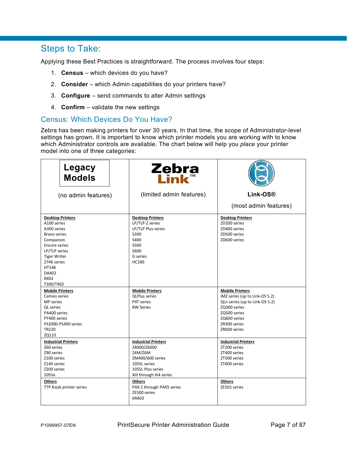# <span id="page-6-0"></span>Steps to Take:

Applying these Best Practices is straightforward. The process involves four steps:

- 1. **Census** which devices do you have?
- 2. **Consider** which Admin capabilities do your printers have?
- 3. **Configure** send commands to alter Admin settings
- 4. **Confirm** validate the new settings

### <span id="page-6-1"></span>Census: Which Devices Do You Have?

Zebra has been making printers for over 30 years. In that time, the scope of Administrator-level settings has grown. It is important to know which printer models you are working with to know which Administrator controls are available. The chart below will help you *place* your printer model into one of three categories:

| Legacy<br><b>Models</b>                                                                                                                                                                                  | Zebra<br>Link                                                                                                                                                                                            |                                                                                                                                                                            |
|----------------------------------------------------------------------------------------------------------------------------------------------------------------------------------------------------------|----------------------------------------------------------------------------------------------------------------------------------------------------------------------------------------------------------|----------------------------------------------------------------------------------------------------------------------------------------------------------------------------|
| (no admin features)                                                                                                                                                                                      | (limited admin features)                                                                                                                                                                                 | Link-OS <sup>®</sup>                                                                                                                                                       |
|                                                                                                                                                                                                          |                                                                                                                                                                                                          | (most admin features)                                                                                                                                                      |
| <b>Desktop Printers</b><br>A100 series<br>A300 series<br><b>Bravo series</b><br>Companion<br>Encore series<br>LP/TLP series<br><b>Tiger Writer</b><br>2746 series<br>HT146<br>DA402<br>R402<br>T300/T402 | <b>Desktop Printers</b><br>LP/TLP-Z series<br>LP/TLP Plus series<br>S300<br>S400<br>S500<br>S600<br>G series<br><b>HC100</b>                                                                             | <b>Desktop Printers</b><br>ZD200 series<br>ZD400 series<br>ZD500 series<br>ZD600 series                                                                                    |
| <b>Mobile Printers</b><br>Cameo series<br>MP series<br><b>QL</b> series<br>PA400 series<br>PT400 series<br>PS2000-PS400 series<br><b>TR220</b><br>ZQ110                                                  | <b>Mobile Printers</b><br><b>QLPlus series</b><br>P4T series<br><b>RW Series</b>                                                                                                                         | <b>Mobile Printers</b><br>iMZ series (up to Link-OS 5.2)<br>QLn series (up to Link-OS 5.2)<br>ZQ300 series<br>ZQ500 series<br>ZQ600 series<br>ZR300 series<br>ZR600 series |
| <b>Industrial Printers</b><br>Z60 series<br>Z90 series<br>Z100 series<br>Z140 series<br>Z200 series<br>105Se<br>Others<br>TTP Kiosk printer series                                                       | <b>Industrial Printers</b><br>Z4000/Z6000<br>Z4M/Z6M<br>ZM400/600 series<br>105SL series<br>105SL Plus series<br>Xill through Xi4 series<br>Others<br>PAX 2 through PAX5 series<br>ZE500 series<br>KR403 | <b>Industrial Printers</b><br>ZT200 series<br>ZT400 series<br>ZT500 series<br>ZT600 series<br><b>Others</b><br>ZE501 series                                                |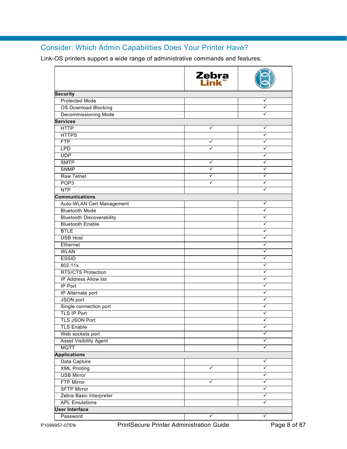# <span id="page-7-0"></span>Consider: Which Admin Capabilities Does Your Printer Have?

Link-OS printers support a wide range of administrative commands and features.

|                                  | Zebra<br>Link |   |
|----------------------------------|---------------|---|
| <b>Security</b>                  |               |   |
| <b>Protected Mode</b>            |               | ✓ |
| <b>OS Download Blocking</b>      |               | ✓ |
| <b>Decommissioning Mode</b>      |               | ✓ |
| <b>Services</b>                  |               |   |
| <b>HTTP</b>                      | ✓             | ✓ |
| <b>HTTPS</b>                     |               | ✓ |
| <b>FTP</b>                       | ✓             | ✓ |
| <b>LPD</b>                       | ✓             | ✓ |
| <b>UDP</b>                       |               | ✓ |
| <b>SMTP</b>                      | ✓             | ✓ |
| <b>SNMP</b>                      | ✓             | ✓ |
| <b>Raw Telnet</b>                | ✓             | ✓ |
| POP <sub>3</sub>                 | ✓             | ✓ |
| <b>NTP</b>                       |               | ✓ |
| <b>Communications</b>            |               |   |
| Auto-WLAN Cert Management        |               | ✓ |
| <b>Bluetooth Mode</b>            |               | ✓ |
| <b>Bluetooth Discoverability</b> |               | ✓ |
| <b>Bluetooth Enable</b>          |               | ✓ |
| <b>BTLE</b>                      |               | ✓ |
| <b>USB Host</b>                  |               | ✓ |
| Ethernet                         |               | ✓ |
| <b>WLAN</b>                      |               | ✓ |
| <b>ESSID</b>                     |               | ✓ |
| 802.11x                          |               | ✓ |
| <b>RTS/CTS Protection</b>        |               | ✓ |
| IP Address Allow list            |               | ✓ |
| <b>IP Port</b>                   |               | ✓ |
| IP Alternate port                |               | ✓ |
| JSON port                        |               | ✓ |
| Single connection port           |               | ✓ |
| <b>TLS IP Port</b>               |               |   |
| TLS JSON Port                    |               | ✓ |
| <b>TLS Enable</b>                |               | ✓ |
| Web sockets port                 |               | ✓ |
| <b>Asset Visibility Agent</b>    |               | ✓ |
| <b>MQTT</b>                      |               | ✓ |
| <b>Applications</b>              |               |   |
| Data Capture                     |               | ✓ |
| <b>XML Printing</b>              | ✓             | ✓ |
| <b>USB Mirror</b>                |               | ✓ |
| <b>FTP Mirror</b>                | ✓             | ✓ |
| <b>SFTP Mirror</b>               |               | ✓ |
| Zebra Basic Interpreter          |               | ✓ |
| <b>APL Emulations</b>            |               | ✓ |
| <b>User Interface</b>            |               |   |
| Password                         | ✓             | ✓ |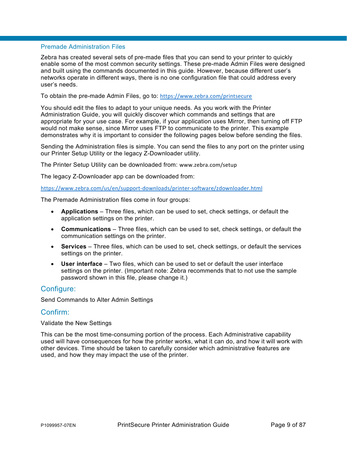#### <span id="page-8-0"></span>Premade Administration Files

Zebra has created several sets of pre-made files that you can send to your printer to quickly enable some of the most common security settings. These pre-made Admin Files were designed and built using the commands documented in this guide. However, because different user's networks operate in different ways, there is no one configuration file that could address every user's needs.

To obtain the pre-made Admin Files, go to: <https://www.zebra.com/printsecure>

You should edit the files to adapt to your unique needs. As you work with the Printer Administration Guide, you will quickly discover which commands and settings that are appropriate for your use case. For example, if your application uses Mirror, then turning off FTP would not make sense, since Mirror uses FTP to communicate to the printer. This example demonstrates why it is important to consider the following pages below before sending the files.

Sending the Administration files is simple. You can send the files to any port on the printer using our Printer Setup Utility or the legacy Z-Downloader utility.

The Printer Setup Utility can be downloaded from: [www.zebra.com/setup](https://www.zebra.com/us/en/products/software/barcode-printers/zebralink/zebra-setup-utility.html)

The legacy Z-Downloader app can be downloaded from:

<https://www.zebra.com/us/en/support-downloads/printer-software/zdownloader.html>

The Premade Administration files come in four groups:

- **Applications** Three files, which can be used to set, check settings, or default the application settings on the printer.
- **Communications** Three files, which can be used to set, check settings, or default the communication settings on the printer.
- **Services** Three files, which can be used to set, check settings, or default the services settings on the printer.
- **User interface** Two files, which can be used to set or default the user interface settings on the printer. (Important note: Zebra recommends that to not use the sample password shown in this file, please change it.)

### <span id="page-8-1"></span>Configure:

Send Commands to Alter Admin Settings

#### <span id="page-8-2"></span>Confirm:

Validate the New Settings

This can be the most time-consuming portion of the process. Each Administrative capability used will have consequences for how the printer works, what it can do, and how it will work with other devices. Time should be taken to carefully consider which administrative features are used, and how they may impact the use of the printer.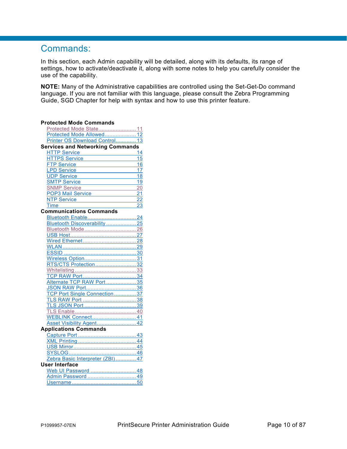# <span id="page-9-1"></span><span id="page-9-0"></span>Commands:

In this section, each Admin capability will be detailed, along with its defaults, its range of settings, how to activate/deactivate it, along with some notes to help you carefully consider the use of the capability.

**NOTE:** Many of the Administrative capabilities are controlled using the Set-Get-Do command language. If you are not familiar with this language, please consult the Zebra Programming Guide, SGD Chapter for help with syntax and how to use this printer feature.

| <b>Protected Mode Commands</b>          |            |
|-----------------------------------------|------------|
| Protected Mode State 11                 |            |
| Protected Mode Allowed 12               |            |
| Printer OS Download Control 13          |            |
| <b>Services and Networking Commands</b> |            |
| <b>HTTP Service</b>                     | 14         |
| <b>TPS Service</b>                      | 15         |
| TP Service                              | 16         |
| <b>PD Service</b>                       | 1<br>7     |
| <b>DP Service</b>                       | 18         |
| <b>SMTP Service</b>                     | 19         |
| <b>SNMP Service</b>                     | 20         |
| POP3 Mail Service                       | 21         |
| <b>NTP Service</b>                      | 22         |
| <u>Time _</u>                           | 23         |
| <b>Communications Commands</b>          |            |
| Bluetooth Enable 24                     |            |
| Bluetooth Discoverability  25           |            |
| Bluetooth Mode 26                       |            |
|                                         | $\dots$ 27 |
|                                         | 28         |
|                                         |            |
|                                         |            |
| Wireless Opt <u>ion</u>                 | $-31$      |
| RTS/CTS Protection 32                   |            |
| Whit <u>elisting </u>                   | $\dots$ 33 |
|                                         |            |
| Alternate TCP RAW Port 35               |            |
|                                         |            |
| TCP Port Single Connection              | .37        |
|                                         |            |
|                                         |            |
|                                         |            |
| WEBLINK Connect 41                      |            |
| Asset Visibility Agent 42               |            |
| <b>Applications Commands</b>            |            |
|                                         |            |
|                                         |            |
|                                         |            |
|                                         |            |
| Zebra Basic Interpreter (ZBI) 47        |            |
| User Interface                          |            |
| Web UI Password  48                     |            |
| Admin Password  49                      |            |
|                                         |            |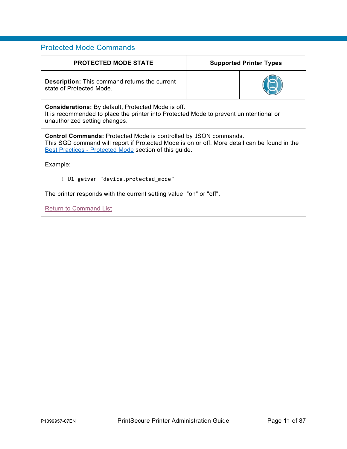### <span id="page-10-0"></span>Protected Mode Commands

<span id="page-10-1"></span>

| <b>PROTECTED MODE STATE</b>                                                                                                                                                                                                       | <b>Supported Printer Types</b> |  |  |
|-----------------------------------------------------------------------------------------------------------------------------------------------------------------------------------------------------------------------------------|--------------------------------|--|--|
| <b>Description:</b> This command returns the current<br>state of Protected Mode.                                                                                                                                                  |                                |  |  |
| <b>Considerations:</b> By default, Protected Mode is off.<br>It is recommended to place the printer into Protected Mode to prevent unintentional or<br>unauthorized setting changes.                                              |                                |  |  |
| <b>Control Commands: Protected Mode is controlled by JSON commands.</b><br>This SGD command will report if Protected Mode is on or off. More detail can be found in the<br>Best Practices - Protected Mode section of this guide. |                                |  |  |
| Example:                                                                                                                                                                                                                          |                                |  |  |
| ! U1 getvar "device.protected mode"                                                                                                                                                                                               |                                |  |  |
| The printer responds with the current setting value: "on" or "off".                                                                                                                                                               |                                |  |  |
| <b>Return to Command List</b>                                                                                                                                                                                                     |                                |  |  |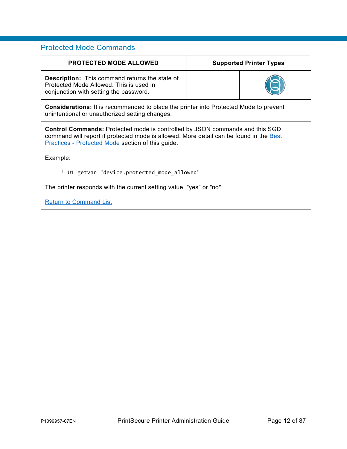### Protected Mode Commands

<span id="page-11-0"></span>

| <b>PROTECTED MODE ALLOWED</b>                                                                                                                                                                                                      | <b>Supported Printer Types</b> |  |  |
|------------------------------------------------------------------------------------------------------------------------------------------------------------------------------------------------------------------------------------|--------------------------------|--|--|
| <b>Description:</b> This command returns the state of<br>Protected Mode Allowed. This is used in<br>conjunction with setting the password.                                                                                         |                                |  |  |
| <b>Considerations:</b> It is recommended to place the printer into Protected Mode to prevent<br>unintentional or unauthorized setting changes.                                                                                     |                                |  |  |
| <b>Control Commands:</b> Protected mode is controlled by JSON commands and this SGD<br>command will report if protected mode is allowed. More detail can be found in the Best<br>Practices - Protected Mode section of this guide. |                                |  |  |
| Example:                                                                                                                                                                                                                           |                                |  |  |
| ! U1 getvar "device.protected mode allowed"                                                                                                                                                                                        |                                |  |  |
| The printer responds with the current setting value: "yes" or "no".                                                                                                                                                                |                                |  |  |
| <b>Return to Command List</b>                                                                                                                                                                                                      |                                |  |  |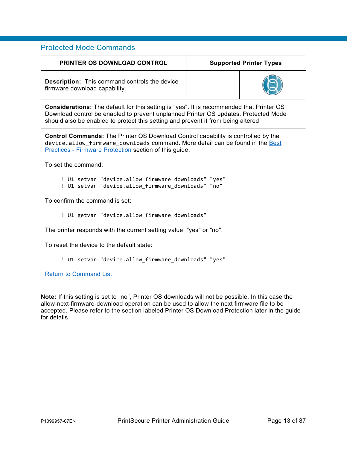### Protected Mode Commands

<span id="page-12-0"></span>

| <b>PRINTER OS DOWNLOAD CONTROL</b>                                                                                                                                                                                                                                          | <b>Supported Printer Types</b> |  |  |
|-----------------------------------------------------------------------------------------------------------------------------------------------------------------------------------------------------------------------------------------------------------------------------|--------------------------------|--|--|
| <b>Description:</b> This command controls the device<br>firmware download capability.                                                                                                                                                                                       |                                |  |  |
| <b>Considerations:</b> The default for this setting is "yes". It is recommended that Printer OS<br>Download control be enabled to prevent unplanned Printer OS updates. Protected Mode<br>should also be enabled to protect this setting and prevent it from being altered. |                                |  |  |
| <b>Control Commands:</b> The Printer OS Download Control capability is controlled by the<br>device.allow firmware downloads command. More detail can be found in the Best<br>Practices - Firmware Protection section of this guide.                                         |                                |  |  |
| To set the command:                                                                                                                                                                                                                                                         |                                |  |  |
| ! U1 setvar "device.allow firmware downloads" "yes"<br>! U1 setvar "device.allow firmware downloads" "no"                                                                                                                                                                   |                                |  |  |
| To confirm the command is set:                                                                                                                                                                                                                                              |                                |  |  |
| ! U1 getvar "device.allow firmware downloads"                                                                                                                                                                                                                               |                                |  |  |
| The printer responds with the current setting value: "yes" or "no".                                                                                                                                                                                                         |                                |  |  |
| To reset the device to the default state:                                                                                                                                                                                                                                   |                                |  |  |
| ! U1 setvar "device.allow_firmware_downloads" "yes"                                                                                                                                                                                                                         |                                |  |  |
| <b>Return to Command List</b>                                                                                                                                                                                                                                               |                                |  |  |

**Note:** If this setting is set to "no", Printer OS downloads will not be possible. In this case the allow-next-firmware-download operation can be used to allow the next firmware file to be accepted. Please refer to the section labeled Printer OS Download Protection later in the guide for details.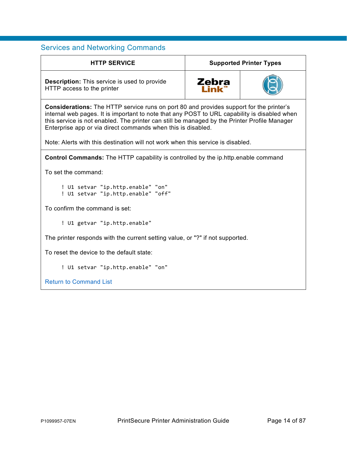<span id="page-13-1"></span><span id="page-13-0"></span>

| <b>HTTP SERVICE</b><br><b>Supported Printer Types</b>                                                                                                                                                                                                                                                                                                          |       |  |  |
|----------------------------------------------------------------------------------------------------------------------------------------------------------------------------------------------------------------------------------------------------------------------------------------------------------------------------------------------------------------|-------|--|--|
| <b>Description:</b> This service is used to provide<br>HTTP access to the printer                                                                                                                                                                                                                                                                              | Zebra |  |  |
| <b>Considerations:</b> The HTTP service runs on port 80 and provides support for the printer's<br>internal web pages. It is important to note that any POST to URL capability is disabled when<br>this service is not enabled. The printer can still be managed by the Printer Profile Manager<br>Enterprise app or via direct commands when this is disabled. |       |  |  |
| Note: Alerts with this destination will not work when this service is disabled.                                                                                                                                                                                                                                                                                |       |  |  |
| <b>Control Commands:</b> The HTTP capability is controlled by the ip.http.enable command                                                                                                                                                                                                                                                                       |       |  |  |
| To set the command:                                                                                                                                                                                                                                                                                                                                            |       |  |  |
| ! U1 setvar "ip.http.enable" "on"<br>! U1 setvar "ip.http.enable" "off"                                                                                                                                                                                                                                                                                        |       |  |  |
| To confirm the command is set:                                                                                                                                                                                                                                                                                                                                 |       |  |  |
| ! U1 getvar "ip.http.enable"                                                                                                                                                                                                                                                                                                                                   |       |  |  |
| The printer responds with the current setting value, or "?" if not supported.                                                                                                                                                                                                                                                                                  |       |  |  |
| To reset the device to the default state:                                                                                                                                                                                                                                                                                                                      |       |  |  |
| ! U1 setvar "ip.http.enable" "on"                                                                                                                                                                                                                                                                                                                              |       |  |  |
| <b>Return to Command List</b>                                                                                                                                                                                                                                                                                                                                  |       |  |  |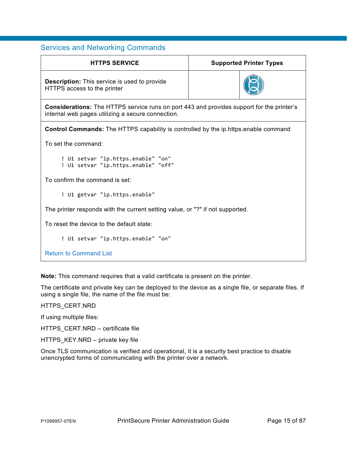<span id="page-14-0"></span>

| <b>HTTPS SERVICE</b><br><b>Supported Printer Types</b>                                                                                                |  |  |  |
|-------------------------------------------------------------------------------------------------------------------------------------------------------|--|--|--|
| <b>Description:</b> This service is used to provide<br>HTTPS access to the printer                                                                    |  |  |  |
| <b>Considerations:</b> The HTTPS service runs on port 443 and provides support for the printer's<br>internal web pages utilizing a secure connection. |  |  |  |
| <b>Control Commands:</b> The HTTPS capability is controlled by the ip.https.enable command                                                            |  |  |  |
| To set the command:                                                                                                                                   |  |  |  |
| ! U1 setvar "ip.https.enable" "on"<br>! U1 setvar "ip.https.enable" "off"                                                                             |  |  |  |
| To confirm the command is set:                                                                                                                        |  |  |  |
| ! U1 getvar "ip.https.enable"                                                                                                                         |  |  |  |
| The printer responds with the current setting value, or "?" if not supported.                                                                         |  |  |  |
| To reset the device to the default state:                                                                                                             |  |  |  |
| ! U1 setvar "ip.https.enable" "on"                                                                                                                    |  |  |  |
| <b>Return to Command List</b>                                                                                                                         |  |  |  |

**Note:** This command requires that a valid certificate is present on the printer.

The certificate and private key can be deployed to the device as a single file, or separate files. If using a single file, the name of the file must be:

HTTPS\_CERT.NRD

If using multiple files:

HTTPS\_CERT.NRD – certificate file

HTTPS\_KEY.NRD – private key file

Once TLS communication is verified and operational, it is a security best practice to disable unencrypted forms of communicating with the printer over a network.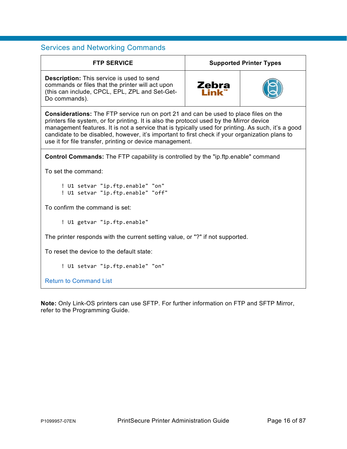<span id="page-15-0"></span>

| <b>FTP SERVICE</b>                                                                                                                                                                                                                                                                                                                                                                                                                                          | <b>Supported Printer Types</b> |  |  |
|-------------------------------------------------------------------------------------------------------------------------------------------------------------------------------------------------------------------------------------------------------------------------------------------------------------------------------------------------------------------------------------------------------------------------------------------------------------|--------------------------------|--|--|
| <b>Description:</b> This service is used to send<br>commands or files that the printer will act upon<br>(this can include, CPCL, EPL, ZPL and Set-Get-<br>Do commands).                                                                                                                                                                                                                                                                                     | Zebra                          |  |  |
| <b>Considerations:</b> The FTP service run on port 21 and can be used to place files on the<br>printers file system, or for printing. It is also the protocol used by the Mirror device<br>management features. It is not a service that is typically used for printing. As such, it's a good<br>candidate to be disabled, however, it's important to first check if your organization plans to<br>use it for file transfer, printing or device management. |                                |  |  |
| <b>Control Commands:</b> The FTP capability is controlled by the "ip.ftp.enable" command                                                                                                                                                                                                                                                                                                                                                                    |                                |  |  |
| To set the command:                                                                                                                                                                                                                                                                                                                                                                                                                                         |                                |  |  |
| ! U1 setvar "ip.ftp.enable" "on"<br>! U1 setvar "ip.ftp.enable" "off"                                                                                                                                                                                                                                                                                                                                                                                       |                                |  |  |
| To confirm the command is set:                                                                                                                                                                                                                                                                                                                                                                                                                              |                                |  |  |
| ! U1 getvar "ip.ftp.enable"                                                                                                                                                                                                                                                                                                                                                                                                                                 |                                |  |  |
| The printer responds with the current setting value, or "?" if not supported.                                                                                                                                                                                                                                                                                                                                                                               |                                |  |  |
| To reset the device to the default state:                                                                                                                                                                                                                                                                                                                                                                                                                   |                                |  |  |
| ! U1 setvar "ip.ftp.enable" "on"                                                                                                                                                                                                                                                                                                                                                                                                                            |                                |  |  |
| <b>Return to Command List</b>                                                                                                                                                                                                                                                                                                                                                                                                                               |                                |  |  |

**Note:** Only Link-OS printers can use SFTP. For further information on FTP and SFTP Mirror, refer to the Programming Guide.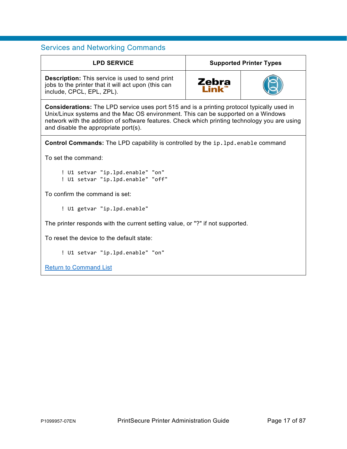<span id="page-16-0"></span>

| <b>LPD SERVICE</b>                                                                                                                                                                                                                                                                                                       | <b>Supported Printer Types</b> |  |  |
|--------------------------------------------------------------------------------------------------------------------------------------------------------------------------------------------------------------------------------------------------------------------------------------------------------------------------|--------------------------------|--|--|
| <b>Description:</b> This service is used to send print<br>jobs to the printer that it will act upon (this can<br>include, CPCL, EPL, ZPL).                                                                                                                                                                               | Zebra<br>Link"                 |  |  |
| Considerations: The LPD service uses port 515 and is a printing protocol typically used in<br>Unix/Linux systems and the Mac OS environment. This can be supported on a Windows<br>network with the addition of software features. Check which printing technology you are using<br>and disable the appropriate port(s). |                                |  |  |
| <b>Control Commands:</b> The LPD capability is controlled by the ip. 1pd. enable command                                                                                                                                                                                                                                 |                                |  |  |
| To set the command:                                                                                                                                                                                                                                                                                                      |                                |  |  |
| ! U1 setvar "ip.lpd.enable" "on"<br>! U1 setvar "ip.lpd.enable" "off"                                                                                                                                                                                                                                                    |                                |  |  |
| To confirm the command is set:                                                                                                                                                                                                                                                                                           |                                |  |  |
| ! U1 getvar "ip.lpd.enable"                                                                                                                                                                                                                                                                                              |                                |  |  |
| The printer responds with the current setting value, or "?" if not supported.                                                                                                                                                                                                                                            |                                |  |  |
| To reset the device to the default state:                                                                                                                                                                                                                                                                                |                                |  |  |
| ! U1 setvar "ip.lpd.enable" "on"                                                                                                                                                                                                                                                                                         |                                |  |  |
| <b>Return to Command List</b>                                                                                                                                                                                                                                                                                            |                                |  |  |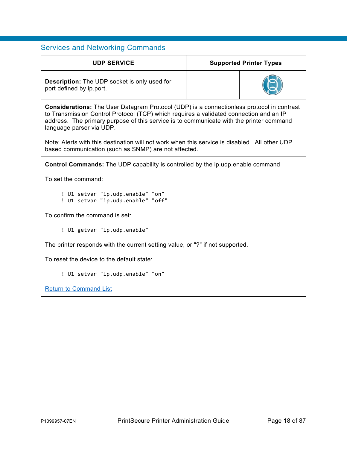<span id="page-17-0"></span>

| <b>UDP SERVICE</b>                                                                                                                                                                                                                                                                                                |  | <b>Supported Printer Types</b> |  |
|-------------------------------------------------------------------------------------------------------------------------------------------------------------------------------------------------------------------------------------------------------------------------------------------------------------------|--|--------------------------------|--|
| <b>Description:</b> The UDP socket is only used for<br>port defined by ip.port.                                                                                                                                                                                                                                   |  |                                |  |
| <b>Considerations:</b> The User Datagram Protocol (UDP) is a connectionless protocol in contrast<br>to Transmission Control Protocol (TCP) which requires a validated connection and an IP<br>address. The primary purpose of this service is to communicate with the printer command<br>language parser via UDP. |  |                                |  |
| Note: Alerts with this destination will not work when this service is disabled. All other UDP<br>based communication (such as SNMP) are not affected.                                                                                                                                                             |  |                                |  |
| <b>Control Commands:</b> The UDP capability is controlled by the ip.udp.enable command                                                                                                                                                                                                                            |  |                                |  |
| To set the command:                                                                                                                                                                                                                                                                                               |  |                                |  |
| ! U1 setvar "ip.udp.enable" "on"<br>! U1 setvar "ip.udp.enable" "off"                                                                                                                                                                                                                                             |  |                                |  |
| To confirm the command is set:                                                                                                                                                                                                                                                                                    |  |                                |  |
| ! U1 getvar "ip.udp.enable"                                                                                                                                                                                                                                                                                       |  |                                |  |
| The printer responds with the current setting value, or "?" if not supported.                                                                                                                                                                                                                                     |  |                                |  |
| To reset the device to the default state:                                                                                                                                                                                                                                                                         |  |                                |  |
| ! U1 setvar "ip.udp.enable" "on"                                                                                                                                                                                                                                                                                  |  |                                |  |
| <b>Return to Command List</b>                                                                                                                                                                                                                                                                                     |  |                                |  |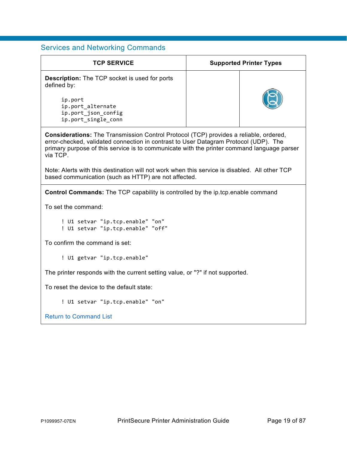| <b>TCP SERVICE</b>                                                                                                                                                                                                                                                                             | <b>Supported Printer Types</b> |  |
|------------------------------------------------------------------------------------------------------------------------------------------------------------------------------------------------------------------------------------------------------------------------------------------------|--------------------------------|--|
| <b>Description:</b> The TCP socket is used for ports<br>defined by:<br>ip.port<br>ip.port alternate<br>ip.port_json_config<br>ip.port_single_conn                                                                                                                                              |                                |  |
| <b>Considerations:</b> The Transmission Control Protocol (TCP) provides a reliable, ordered,<br>error-checked, validated connection in contrast to User Datagram Protocol (UDP). The<br>primary purpose of this service is to communicate with the printer command language parser<br>via TCP. |                                |  |
| Note: Alerts with this destination will not work when this service is disabled. All other TCP<br>based communication (such as HTTP) are not affected.                                                                                                                                          |                                |  |
| <b>Control Commands:</b> The TCP capability is controlled by the ip.tcp.enable command                                                                                                                                                                                                         |                                |  |
| To set the command:                                                                                                                                                                                                                                                                            |                                |  |
| ! U1 setvar "ip.tcp.enable" "on"<br>! U1 setvar "ip.tcp.enable" "off"                                                                                                                                                                                                                          |                                |  |
| To confirm the command is set:                                                                                                                                                                                                                                                                 |                                |  |
| ! U1 getvar "ip.tcp.enable"                                                                                                                                                                                                                                                                    |                                |  |
| The printer responds with the current setting value, or "?" if not supported.                                                                                                                                                                                                                  |                                |  |
| To reset the device to the default state:                                                                                                                                                                                                                                                      |                                |  |
| ! U1 setvar "ip.tcp.enable" "on"                                                                                                                                                                                                                                                               |                                |  |

[Return to Command List](#page-9-1)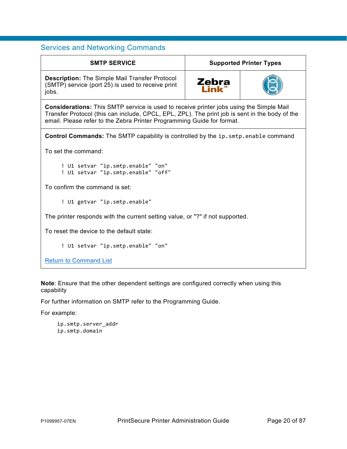<span id="page-19-0"></span>

| <b>SMTP SERVICE</b>                                                                                                                                                                                                                                                        | <b>Supported Printer Types</b> |  |
|----------------------------------------------------------------------------------------------------------------------------------------------------------------------------------------------------------------------------------------------------------------------------|--------------------------------|--|
| <b>Description: The Simple Mail Transfer Protocol</b><br>(SMTP) service (port 25) is used to receive print<br>jobs.                                                                                                                                                        | <b>Zebra</b>                   |  |
| <b>Considerations:</b> This SMTP service is used to receive printer jobs using the Simple Mail<br>Transfer Protocol (this can include, CPCL, EPL, ZPL). The print job is sent in the body of the<br>email. Please refer to the Zebra Printer Programming Guide for format. |                                |  |
| <b>Control Commands:</b> The SMTP capability is controlled by the ip. smtp. enable command                                                                                                                                                                                 |                                |  |
| To set the command:                                                                                                                                                                                                                                                        |                                |  |
| ! U1 setvar "ip.smtp.enable" "on"<br>! U1 setvar "ip.smtp.enable" "off"                                                                                                                                                                                                    |                                |  |
| To confirm the command is set:                                                                                                                                                                                                                                             |                                |  |
| ! U1 getvar "ip.smtp.enable"                                                                                                                                                                                                                                               |                                |  |
| The printer responds with the current setting value, or "?" if not supported.                                                                                                                                                                                              |                                |  |
| To reset the device to the default state:                                                                                                                                                                                                                                  |                                |  |
| ! U1 setvar "ip.smtp.enable" "on"                                                                                                                                                                                                                                          |                                |  |
| <b>Return to Command List</b>                                                                                                                                                                                                                                              |                                |  |

**Note**: Ensure that the other dependent settings are configured correctly when using this capability

For further information on SMTP refer to the Programming Guide.

For example:

```
ip.smtp.server_addr
ip.smtp.domain
```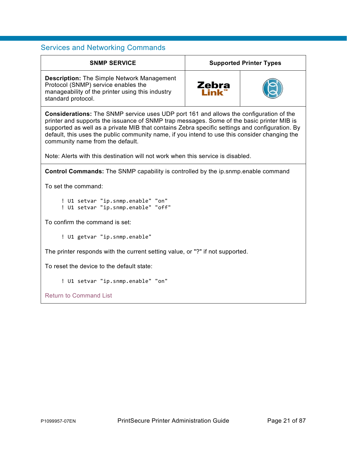<span id="page-20-0"></span>

| <b>SNMP SERVICE</b>                                                                                                                                                                                                                                                                                                                                                                                                               | <b>Supported Printer Types</b> |  |
|-----------------------------------------------------------------------------------------------------------------------------------------------------------------------------------------------------------------------------------------------------------------------------------------------------------------------------------------------------------------------------------------------------------------------------------|--------------------------------|--|
| <b>Description:</b> The Simple Network Management<br>Protocol (SNMP) service enables the<br>manageability of the printer using this industry<br>standard protocol.                                                                                                                                                                                                                                                                | Zebra                          |  |
| <b>Considerations:</b> The SNMP service uses UDP port 161 and allows the configuration of the<br>printer and supports the issuance of SNMP trap messages. Some of the basic printer MIB is<br>supported as well as a private MIB that contains Zebra specific settings and configuration. By<br>default, this uses the public community name, if you intend to use this consider changing the<br>community name from the default. |                                |  |
| Note: Alerts with this destination will not work when this service is disabled.                                                                                                                                                                                                                                                                                                                                                   |                                |  |
| <b>Control Commands:</b> The SNMP capability is controlled by the ip.snmp.enable command                                                                                                                                                                                                                                                                                                                                          |                                |  |
| To set the command:                                                                                                                                                                                                                                                                                                                                                                                                               |                                |  |
| ! U1 setvar "ip.snmp.enable" "on"<br>! U1 setvar "ip.snmp.enable" "off"                                                                                                                                                                                                                                                                                                                                                           |                                |  |
| To confirm the command is set:                                                                                                                                                                                                                                                                                                                                                                                                    |                                |  |
| ! U1 getvar "ip.snmp.enable"                                                                                                                                                                                                                                                                                                                                                                                                      |                                |  |
| The printer responds with the current setting value, or "?" if not supported.                                                                                                                                                                                                                                                                                                                                                     |                                |  |
| To reset the device to the default state:                                                                                                                                                                                                                                                                                                                                                                                         |                                |  |
| ! U1 setvar "ip.snmp.enable" "on"                                                                                                                                                                                                                                                                                                                                                                                                 |                                |  |
| <b>Return to Command List</b>                                                                                                                                                                                                                                                                                                                                                                                                     |                                |  |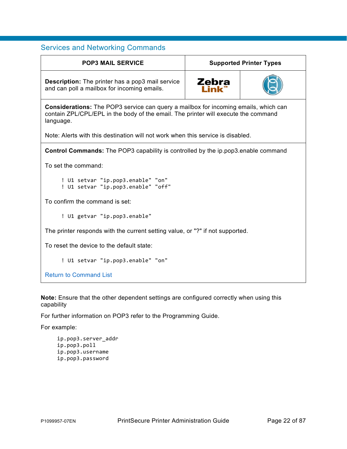<span id="page-21-0"></span>

| <b>POP3 MAIL SERVICE</b>                                                                                                                                                                      | <b>Supported Printer Types</b> |  |
|-----------------------------------------------------------------------------------------------------------------------------------------------------------------------------------------------|--------------------------------|--|
| <b>Description:</b> The printer has a pop3 mail service<br>and can poll a mailbox for incoming emails.                                                                                        | Zebra                          |  |
| <b>Considerations:</b> The POP3 service can query a mailbox for incoming emails, which can<br>contain ZPL/CPL/EPL in the body of the email. The printer will execute the command<br>language. |                                |  |
| Note: Alerts with this destination will not work when this service is disabled.                                                                                                               |                                |  |
| <b>Control Commands:</b> The POP3 capability is controlled by the ip.pop3.enable command                                                                                                      |                                |  |
| To set the command:                                                                                                                                                                           |                                |  |
| ! U1 setvar "ip.pop3.enable" "on"<br>! U1 setvar "ip.pop3.enable" "off"                                                                                                                       |                                |  |
| To confirm the command is set:                                                                                                                                                                |                                |  |
| ! U1 getvar "ip.pop3.enable"                                                                                                                                                                  |                                |  |
| The printer responds with the current setting value, or "?" if not supported.                                                                                                                 |                                |  |
| To reset the device to the default state:                                                                                                                                                     |                                |  |
| ! U1 setvar "ip.pop3.enable" "on"                                                                                                                                                             |                                |  |
| <b>Return to Command List</b>                                                                                                                                                                 |                                |  |

**Note:** Ensure that the other dependent settings are configured correctly when using this capability

For further information on POP3 refer to the Programming Guide.

For example:

```
ip.pop3.server_addr
ip.pop3.poll
ip.pop3.username
ip.pop3.password
```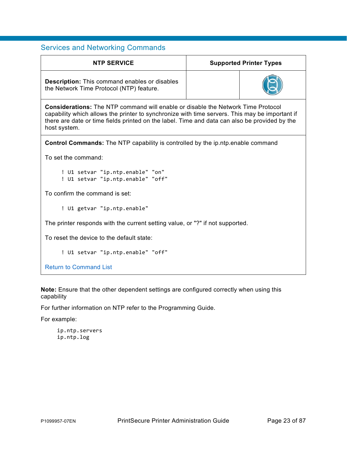<span id="page-22-0"></span>

| <b>NTP SERVICE</b>                                                                                                                                                                                                                                                                                         | <b>Supported Printer Types</b> |  |
|------------------------------------------------------------------------------------------------------------------------------------------------------------------------------------------------------------------------------------------------------------------------------------------------------------|--------------------------------|--|
| <b>Description:</b> This command enables or disables<br>the Network Time Protocol (NTP) feature.                                                                                                                                                                                                           |                                |  |
| <b>Considerations:</b> The NTP command will enable or disable the Network Time Protocol<br>capability which allows the printer to synchronize with time servers. This may be important if<br>there are date or time fields printed on the label. Time and data can also be provided by the<br>host system. |                                |  |
| <b>Control Commands:</b> The NTP capability is controlled by the ip.ntp.enable command                                                                                                                                                                                                                     |                                |  |
| To set the command:                                                                                                                                                                                                                                                                                        |                                |  |
| ! U1 setvar "ip.ntp.enable" "on"<br>! U1 setvar "ip.ntp.enable" "off"                                                                                                                                                                                                                                      |                                |  |
| To confirm the command is set:                                                                                                                                                                                                                                                                             |                                |  |
| ! U1 getvar "ip.ntp.enable"                                                                                                                                                                                                                                                                                |                                |  |
| The printer responds with the current setting value, or "?" if not supported.                                                                                                                                                                                                                              |                                |  |
| To reset the device to the default state:                                                                                                                                                                                                                                                                  |                                |  |
| ! U1 setvar "ip.ntp.enable" "off"                                                                                                                                                                                                                                                                          |                                |  |
| <b>Return to Command List</b>                                                                                                                                                                                                                                                                              |                                |  |

**Note:** Ensure that the other dependent settings are configured correctly when using this capability

For further information on NTP refer to the Programming Guide.

For example:

ip.ntp.servers ip.ntp.log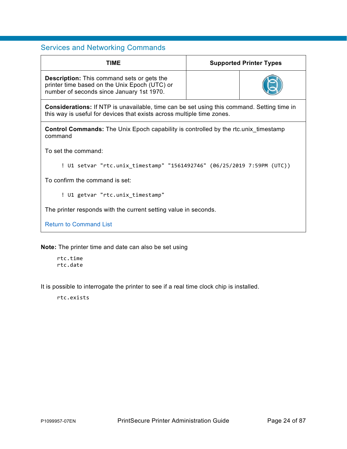<span id="page-23-0"></span>

| <b>TIME</b>                                                                                                                                                                 | <b>Supported Printer Types</b> |  |
|-----------------------------------------------------------------------------------------------------------------------------------------------------------------------------|--------------------------------|--|
| <b>Description:</b> This command sets or gets the<br>printer time based on the Unix Epoch (UTC) or<br>number of seconds since January 1st 1970.                             |                                |  |
| <b>Considerations:</b> If NTP is unavailable, time can be set using this command. Setting time in<br>this way is useful for devices that exists across multiple time zones. |                                |  |
| <b>Control Commands:</b> The Unix Epoch capability is controlled by the rtc.unix timestamp<br>command                                                                       |                                |  |
| To set the command:                                                                                                                                                         |                                |  |
| ! U1 setvar "rtc.unix_timestamp" "1561492746" (06/25/2019 7:59PM (UTC))                                                                                                     |                                |  |
| To confirm the command is set:                                                                                                                                              |                                |  |
| ! U1 getvar "rtc.unix timestamp"                                                                                                                                            |                                |  |
| The printer responds with the current setting value in seconds.                                                                                                             |                                |  |
| <b>Return to Command List</b>                                                                                                                                               |                                |  |

**Note:** The printer time and date can also be set using

rtc.time rtc.date

It is possible to interrogate the printer to see if a real time clock chip is installed.

rtc.exists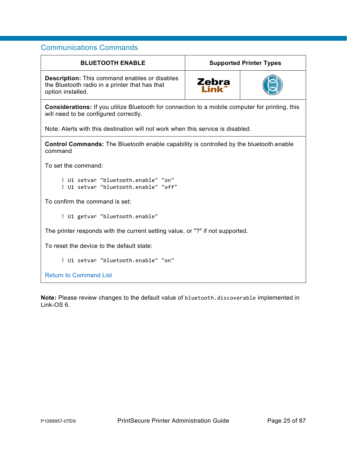<span id="page-24-1"></span><span id="page-24-0"></span>

| <b>BLUETOOTH ENABLE</b>                                                                                                                         | <b>Supported Printer Types</b> |  |
|-------------------------------------------------------------------------------------------------------------------------------------------------|--------------------------------|--|
| <b>Description:</b> This command enables or disables<br>the Bluetooth radio in a printer that has that<br>option installed.                     | Zebra                          |  |
| <b>Considerations:</b> If you utilize Bluetooth for connection to a mobile computer for printing, this<br>will need to be configured correctly. |                                |  |
| Note: Alerts with this destination will not work when this service is disabled.                                                                 |                                |  |
| <b>Control Commands:</b> The Bluetooth enable capability is controlled by the bluetooth enable<br>command                                       |                                |  |
| To set the command:                                                                                                                             |                                |  |
| ! U1 setvar "bluetooth.enable" "on"<br>! U1 setvar "bluetooth.enable" "off"                                                                     |                                |  |
| To confirm the command is set:                                                                                                                  |                                |  |
| ! U1 getvar "bluetooth.enable"                                                                                                                  |                                |  |
| The printer responds with the current setting value, or "?" if not supported.                                                                   |                                |  |
| To reset the device to the default state:                                                                                                       |                                |  |
| ! U1 setvar "bluetooth.enable" "on"                                                                                                             |                                |  |
| <b>Return to Command List</b>                                                                                                                   |                                |  |

**Note:** Please review changes to the default value of bluetooth.discoverable implemented in Link-OS 6.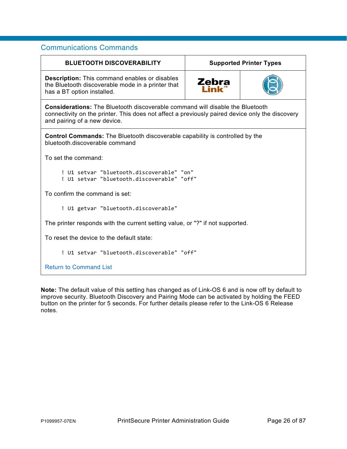<span id="page-25-0"></span>

| <b>BLUETOOTH DISCOVERABILITY</b>                                                                                                                                                                                        | <b>Supported Printer Types</b> |  |
|-------------------------------------------------------------------------------------------------------------------------------------------------------------------------------------------------------------------------|--------------------------------|--|
| <b>Description:</b> This command enables or disables<br>the Bluetooth discoverable mode in a printer that<br>has a BT option installed.                                                                                 | Zebra                          |  |
| <b>Considerations:</b> The Bluetooth discoverable command will disable the Bluetooth<br>connectivity on the printer. This does not affect a previously paired device only the discovery<br>and pairing of a new device. |                                |  |
| <b>Control Commands:</b> The Bluetooth discoverable capability is controlled by the<br>bluetooth.discoverable command                                                                                                   |                                |  |
| To set the command:                                                                                                                                                                                                     |                                |  |
| ! U1 setvar "bluetooth.discoverable" "on"<br>! U1 setvar "bluetooth.discoverable" "off"                                                                                                                                 |                                |  |
| To confirm the command is set:                                                                                                                                                                                          |                                |  |
| ! U1 getvar "bluetooth.discoverable"                                                                                                                                                                                    |                                |  |
| The printer responds with the current setting value, or "?" if not supported.                                                                                                                                           |                                |  |
| To reset the device to the default state:                                                                                                                                                                               |                                |  |
| ! U1 setvar "bluetooth.discoverable" "off"                                                                                                                                                                              |                                |  |
| <b>Return to Command List</b>                                                                                                                                                                                           |                                |  |

**Note:** The default value of this setting has changed as of Link-OS 6 and is now off by default to improve security. Bluetooth Discovery and Pairing Mode can be activated by holding the FEED button on the printer for 5 seconds. For further details please refer to the Link-OS 6 Release notes.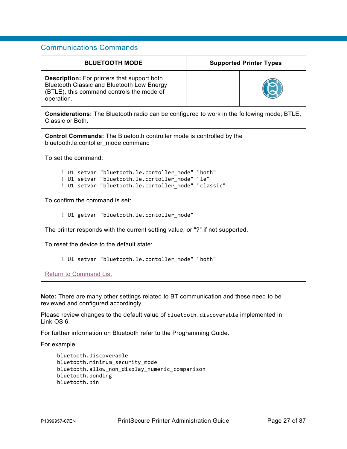<span id="page-26-0"></span>

| <b>BLUETOOTH MODE</b>                                                                                                                                              | <b>Supported Printer Types</b> |  |
|--------------------------------------------------------------------------------------------------------------------------------------------------------------------|--------------------------------|--|
| <b>Description:</b> For printers that support both<br><b>Bluetooth Classic and Bluetooth Low Energy</b><br>(BTLE), this command controls the mode of<br>operation. |                                |  |
| <b>Considerations:</b> The Bluetooth radio can be configured to work in the following mode; BTLE,<br>Classic or Both.                                              |                                |  |
| <b>Control Commands:</b> The Bluetooth controller mode is controlled by the<br>bluetooth.le.contoller mode command                                                 |                                |  |
| To set the command:                                                                                                                                                |                                |  |
| ! U1 setvar "bluetooth.le.contoller mode" "both"<br>! U1 setvar "bluetooth.le.contoller mode" "le"<br>! U1 setvar "bluetooth.le.contoller_mode" "classic"          |                                |  |
| To confirm the command is set:                                                                                                                                     |                                |  |
| ! U1 getvar "bluetooth.le.contoller_mode"                                                                                                                          |                                |  |
| The printer responds with the current setting value, or "?" if not supported.                                                                                      |                                |  |
| To reset the device to the default state:                                                                                                                          |                                |  |
| ! U1 setvar "bluetooth.le.contoller_mode" "both"                                                                                                                   |                                |  |
| <b>Return to Command List</b>                                                                                                                                      |                                |  |

**Note:** There are many other settings related to BT communication and these need to be reviewed and configured accordingly.

Please review changes to the default value of bluetooth.discoverable implemented in Link-OS 6.

For further information on Bluetooth refer to the Programming Guide.

For example:

```
bluetooth.discoverable 
bluetooth.minimum_security_mode 
bluetooth.allow_non_display_numeric_comparison
bluetooth.bonding 
bluetooth.pin
```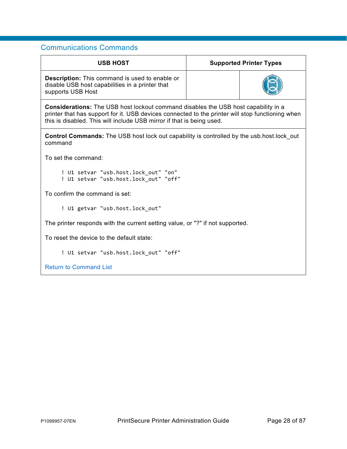<span id="page-27-0"></span>

| <b>USB HOST</b>                                                                                                                                                                                                                                                        | <b>Supported Printer Types</b> |  |
|------------------------------------------------------------------------------------------------------------------------------------------------------------------------------------------------------------------------------------------------------------------------|--------------------------------|--|
| <b>Description:</b> This command is used to enable or<br>disable USB host capabilities in a printer that<br>supports USB Host                                                                                                                                          |                                |  |
| <b>Considerations:</b> The USB host lockout command disables the USB host capability in a<br>printer that has support for it. USB devices connected to the printer will stop functioning when<br>this is disabled. This will include USB mirror if that is being used. |                                |  |
| <b>Control Commands:</b> The USB host lock out capability is controlled by the usb.host.lock out<br>command                                                                                                                                                            |                                |  |
| To set the command:                                                                                                                                                                                                                                                    |                                |  |
| ! U1 setvar "usb.host.lock_out" "on"<br>! U1 setvar "usb.host.lock_out" "off"                                                                                                                                                                                          |                                |  |
| To confirm the command is set:                                                                                                                                                                                                                                         |                                |  |
| ! U1 getvar "usb.host.lock out"                                                                                                                                                                                                                                        |                                |  |
| The printer responds with the current setting value, or "?" if not supported.                                                                                                                                                                                          |                                |  |
| To reset the device to the default state:                                                                                                                                                                                                                              |                                |  |
| ! U1 setvar "usb.host.lock_out" "off"                                                                                                                                                                                                                                  |                                |  |
| <b>Return to Command List</b>                                                                                                                                                                                                                                          |                                |  |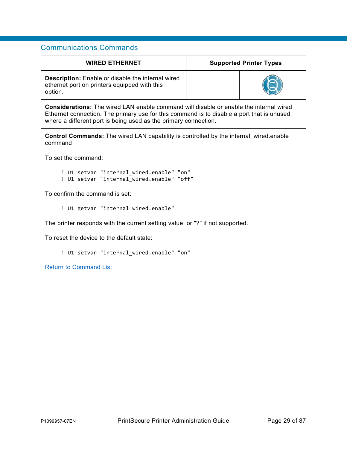<span id="page-28-0"></span>

| <b>WIRED ETHERNET</b>                                                                                                                                                                                                                                          | <b>Supported Printer Types</b> |  |
|----------------------------------------------------------------------------------------------------------------------------------------------------------------------------------------------------------------------------------------------------------------|--------------------------------|--|
| <b>Description:</b> Enable or disable the internal wired<br>ethernet port on printers equipped with this<br>option.                                                                                                                                            |                                |  |
| <b>Considerations:</b> The wired LAN enable command will disable or enable the internal wired<br>Ethernet connection. The primary use for this command is to disable a port that is unused,<br>where a different port is being used as the primary connection. |                                |  |
| <b>Control Commands:</b> The wired LAN capability is controlled by the internal wired enable<br>command                                                                                                                                                        |                                |  |
| To set the command:                                                                                                                                                                                                                                            |                                |  |
| ! U1 setvar "internal wired.enable" "on"<br>! U1 setvar "internal_wired.enable" "off"                                                                                                                                                                          |                                |  |
| To confirm the command is set:                                                                                                                                                                                                                                 |                                |  |
| ! U1 getvar "internal_wired.enable"                                                                                                                                                                                                                            |                                |  |
| The printer responds with the current setting value, or "?" if not supported.                                                                                                                                                                                  |                                |  |
| To reset the device to the default state:                                                                                                                                                                                                                      |                                |  |
| ! U1 setvar "internal_wired.enable" "on"                                                                                                                                                                                                                       |                                |  |
| <b>Return to Command List</b>                                                                                                                                                                                                                                  |                                |  |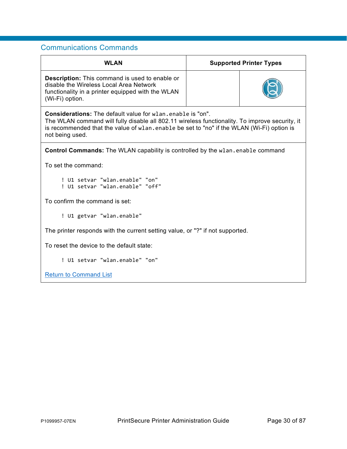<span id="page-29-0"></span>

| <b>WLAN</b>                                                                                                                                                                                                                                                                          | <b>Supported Printer Types</b> |  |  |
|--------------------------------------------------------------------------------------------------------------------------------------------------------------------------------------------------------------------------------------------------------------------------------------|--------------------------------|--|--|
| <b>Description:</b> This command is used to enable or<br>disable the Wireless Local Area Network<br>functionality in a printer equipped with the WLAN<br>(Wi-Fi) option.                                                                                                             |                                |  |  |
| <b>Considerations:</b> The default value for wlan, enable is "on".<br>The WLAN command will fully disable all 802.11 wireless functionality. To improve security, it<br>is recommended that the value of wlan.enable be set to "no" if the WLAN (Wi-Fi) option is<br>not being used. |                                |  |  |
| <b>Control Commands:</b> The WLAN capability is controlled by the wlan.enable command                                                                                                                                                                                                |                                |  |  |
| To set the command:                                                                                                                                                                                                                                                                  |                                |  |  |
| ! U1 setvar "wlan.enable" "on"<br>! U1 setvar "wlan.enable" "off"                                                                                                                                                                                                                    |                                |  |  |
| To confirm the command is set:                                                                                                                                                                                                                                                       |                                |  |  |
| ! U1 getvar "wlan.enable"                                                                                                                                                                                                                                                            |                                |  |  |
| The printer responds with the current setting value, or "?" if not supported.                                                                                                                                                                                                        |                                |  |  |
| To reset the device to the default state:                                                                                                                                                                                                                                            |                                |  |  |
| ! U1 setvar "wlan.enable" "on"                                                                                                                                                                                                                                                       |                                |  |  |
| <b>Return to Command List</b>                                                                                                                                                                                                                                                        |                                |  |  |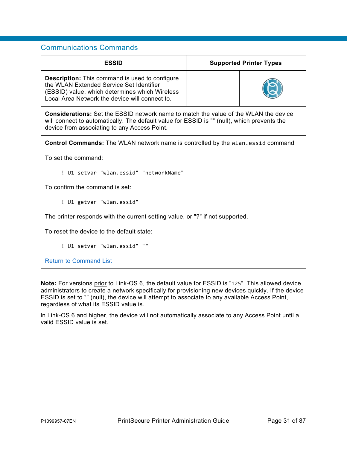<span id="page-30-0"></span>

| <b>ESSID</b>                                                                                                                                                                                                                               | <b>Supported Printer Types</b> |  |  |
|--------------------------------------------------------------------------------------------------------------------------------------------------------------------------------------------------------------------------------------------|--------------------------------|--|--|
| <b>Description:</b> This command is used to configure<br>the WLAN Extended Service Set Identifier<br>(ESSID) value, which determines which Wireless<br>Local Area Network the device will connect to.                                      |                                |  |  |
| <b>Considerations:</b> Set the ESSID network name to match the value of the WLAN the device<br>will connect to automatically. The default value for ESSID is "" (null), which prevents the<br>device from associating to any Access Point. |                                |  |  |
| <b>Control Commands:</b> The WLAN network name is controlled by the wlan.essid command                                                                                                                                                     |                                |  |  |
| To set the command:                                                                                                                                                                                                                        |                                |  |  |
| ! U1 setvar "wlan.essid" "networkName"                                                                                                                                                                                                     |                                |  |  |
| To confirm the command is set:                                                                                                                                                                                                             |                                |  |  |
| ! U1 getvar "wlan.essid"                                                                                                                                                                                                                   |                                |  |  |
| The printer responds with the current setting value, or "?" if not supported.                                                                                                                                                              |                                |  |  |
| To reset the device to the default state:                                                                                                                                                                                                  |                                |  |  |
| ! U1 setvar "wlan.essid" ""                                                                                                                                                                                                                |                                |  |  |
| <b>Return to Command List</b>                                                                                                                                                                                                              |                                |  |  |

**Note:** For versions prior to Link-OS 6, the default value for ESSID is "125". This allowed device administrators to create a network specifically for provisioning new devices quickly. If the device ESSID is set to "" (null), the device will attempt to associate to any available Access Point, regardless of what its ESSID value is.

ln Link-OS 6 and higher, the device will not automatically associate to any Access Point until a valid ESSID value is set.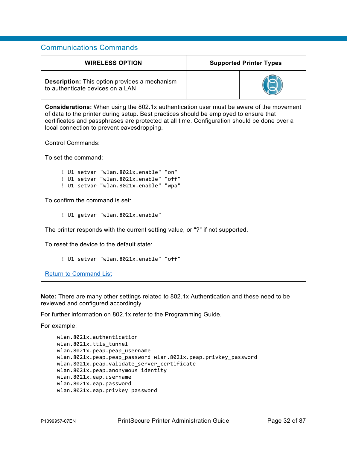<span id="page-31-0"></span>

| <b>WIRELESS OPTION</b>                                                                                                                                                                                                                                                                                                               | <b>Supported Printer Types</b> |  |  |
|--------------------------------------------------------------------------------------------------------------------------------------------------------------------------------------------------------------------------------------------------------------------------------------------------------------------------------------|--------------------------------|--|--|
| <b>Description:</b> This option provides a mechanism<br>to authenticate devices on a LAN                                                                                                                                                                                                                                             |                                |  |  |
| <b>Considerations:</b> When using the 802.1x authentication user must be aware of the movement<br>of data to the printer during setup. Best practices should be employed to ensure that<br>certificates and passphrases are protected at all time. Configuration should be done over a<br>local connection to prevent eavesdropping. |                                |  |  |
| <b>Control Commands:</b>                                                                                                                                                                                                                                                                                                             |                                |  |  |
| To set the command:                                                                                                                                                                                                                                                                                                                  |                                |  |  |
| ! U1 setvar "wlan.8021x.enable" "on"<br>! U1 setvar "wlan.8021x.enable" "off"<br>! U1 setvar "wlan.8021x.enable" "wpa"                                                                                                                                                                                                               |                                |  |  |
| To confirm the command is set:                                                                                                                                                                                                                                                                                                       |                                |  |  |
| ! U1 getvar "wlan.8021x.enable"                                                                                                                                                                                                                                                                                                      |                                |  |  |
| The printer responds with the current setting value, or "?" if not supported.                                                                                                                                                                                                                                                        |                                |  |  |
| To reset the device to the default state:                                                                                                                                                                                                                                                                                            |                                |  |  |
| ! U1 setvar "wlan.8021x.enable" "off"                                                                                                                                                                                                                                                                                                |                                |  |  |
| <b>Return to Command List</b>                                                                                                                                                                                                                                                                                                        |                                |  |  |

**Note:** There are many other settings related to 802.1x Authentication and these need to be reviewed and configured accordingly.

For further information on 802.1x refer to the Programming Guide.

For example:

```
wlan.8021x.authentication
wlan.8021x.ttls_tunnel
wlan.8021x.peap.peap_username
wlan.8021x.peap.peap_password wlan.8021x.peap.privkey_password 
wlan.8021x.peap.validate_server_certificate 
wlan.8021x.peap.anonymous_identity 
wlan.8021x.eap.username 
wlan.8021x.eap.password 
wlan.8021x.eap.privkey_password
```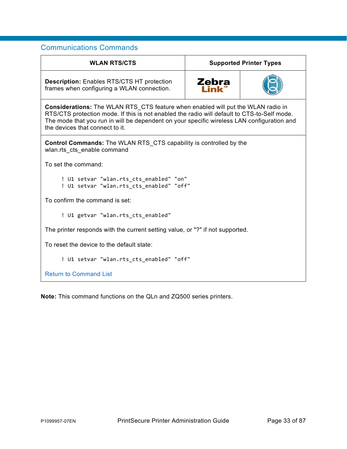<span id="page-32-0"></span>

| <b>WLAN RTS/CTS</b>                                                                                                                                                                                                                                                                                                     | <b>Supported Printer Types</b> |  |
|-------------------------------------------------------------------------------------------------------------------------------------------------------------------------------------------------------------------------------------------------------------------------------------------------------------------------|--------------------------------|--|
| <b>Description: Enables RTS/CTS HT protection</b><br>frames when configuring a WLAN connection.                                                                                                                                                                                                                         | Zebra<br>I ink                 |  |
| <b>Considerations:</b> The WLAN RTS CTS feature when enabled will put the WLAN radio in<br>RTS/CTS protection mode. If this is not enabled the radio will default to CTS-to-Self mode.<br>The mode that you run in will be dependent on your specific wireless LAN configuration and<br>the devices that connect to it. |                                |  |
| Control Commands: The WLAN RTS_CTS capability is controlled by the<br>wlan.rts cts enable command                                                                                                                                                                                                                       |                                |  |
| To set the command:                                                                                                                                                                                                                                                                                                     |                                |  |
| ! U1 setvar "wlan.rts_cts_enabled" "on"<br>! U1 setvar "wlan.rts cts enabled" "off"                                                                                                                                                                                                                                     |                                |  |
| To confirm the command is set:                                                                                                                                                                                                                                                                                          |                                |  |
| ! U1 getvar "wlan.rts_cts_enabled"                                                                                                                                                                                                                                                                                      |                                |  |
| The printer responds with the current setting value, or "?" if not supported.                                                                                                                                                                                                                                           |                                |  |
| To reset the device to the default state:                                                                                                                                                                                                                                                                               |                                |  |
| ! U1 setvar "wlan.rts_cts_enabled" "off"                                                                                                                                                                                                                                                                                |                                |  |
| <b>Return to Command List</b>                                                                                                                                                                                                                                                                                           |                                |  |

**Note:** This command functions on the QLn and ZQ500 series printers.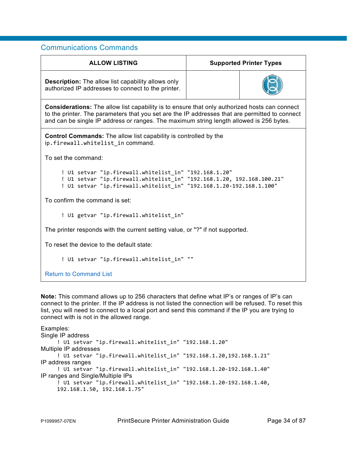| <b>ALLOW LISTING</b>                                                                                                                                                                                                                                                                              | <b>Supported Printer Types</b> |  |  |
|---------------------------------------------------------------------------------------------------------------------------------------------------------------------------------------------------------------------------------------------------------------------------------------------------|--------------------------------|--|--|
| <b>Description:</b> The allow list capability allows only<br>authorized IP addresses to connect to the printer.                                                                                                                                                                                   |                                |  |  |
| <b>Considerations:</b> The allow list capability is to ensure that only authorized hosts can connect<br>to the printer. The parameters that you set are the IP addresses that are permitted to connect<br>and can be single IP address or ranges. The maximum string length allowed is 256 bytes. |                                |  |  |
| <b>Control Commands:</b> The allow list capability is controlled by the<br>ip.firewall.whitelist in command.                                                                                                                                                                                      |                                |  |  |
| To set the command:                                                                                                                                                                                                                                                                               |                                |  |  |
| ! U1 setvar "ip.firewall.whitelist in" "192.168.1.20"<br>! U1 setvar "ip.firewall.whitelist_in" "192.168.1.20, 192.168.100.21"<br>! U1 setvar "ip.firewall.whitelist_in" "192.168.1.20-192.168.1.100"                                                                                             |                                |  |  |
| To confirm the command is set:                                                                                                                                                                                                                                                                    |                                |  |  |
| ! U1 getvar "ip.firewall.whitelist_in"                                                                                                                                                                                                                                                            |                                |  |  |
| The printer responds with the current setting value, or "?" if not supported.                                                                                                                                                                                                                     |                                |  |  |
| To reset the device to the default state:                                                                                                                                                                                                                                                         |                                |  |  |
| ! U1 setvar "ip.firewall.whitelist_in" ""                                                                                                                                                                                                                                                         |                                |  |  |
| <b>Return to Command List</b>                                                                                                                                                                                                                                                                     |                                |  |  |

**Note:** This command allows up to 256 characters that define what IP's or ranges of IP's can connect to the printer. If the IP address is not listed the connection will be refused. To reset this list, you will need to connect to a local port and send this command if the IP you are trying to connect with is not in the allowed range.

Examples:

```
Single IP address 
     ! U1 setvar "ip.firewall.whitelist_in" "192.168.1.20" 
Multiple IP addresses 
     ! U1 setvar "ip.firewall.whitelist_in" "192.168.1.20,192.168.1.21" 
IP address ranges 
     ! U1 setvar "ip.firewall.whitelist_in" "192.168.1.20-192.168.1.40" 
IP ranges and Single/Multiple IPs 
     ! U1 setvar "ip.firewall.whitelist_in" "192.168.1.20-192.168.1.40, 
     192.168.1.50, 192.168.1.75"
```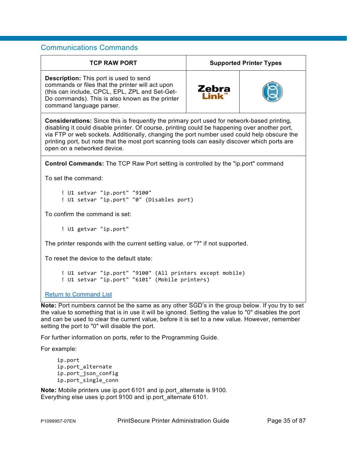<span id="page-34-0"></span>

| <b>TCP RAW PORT</b>                                                                                                                                                                                                                                                                                                                                                                                                              | <b>Supported Printer Types</b> |  |
|----------------------------------------------------------------------------------------------------------------------------------------------------------------------------------------------------------------------------------------------------------------------------------------------------------------------------------------------------------------------------------------------------------------------------------|--------------------------------|--|
| <b>Description:</b> This port is used to send<br>commands or files that the printer will act upon<br>(this can include, CPCL, EPL, ZPL and Set-Get-<br>Do commands). This is also known as the printer<br>command language parser.                                                                                                                                                                                               | Zebra                          |  |
| <b>Considerations:</b> Since this is frequently the primary port used for network-based printing,<br>disabling it could disable printer. Of course, printing could be happening over another port,<br>via FTP or web sockets. Additionally, changing the port number used could help obscure the<br>printing port, but note that the most port scanning tools can easily discover which ports are<br>open on a networked device. |                                |  |
| <b>Control Commands:</b> The TCP Raw Port setting is controlled by the "ip.port" command                                                                                                                                                                                                                                                                                                                                         |                                |  |
| To set the command:                                                                                                                                                                                                                                                                                                                                                                                                              |                                |  |
| ! U1 setvar "ip.port" "9100"<br>! U1 setvar "ip.port" "0" (Disables port)                                                                                                                                                                                                                                                                                                                                                        |                                |  |
| To confirm the command is set:                                                                                                                                                                                                                                                                                                                                                                                                   |                                |  |
| ! U1 getvar "ip.port"                                                                                                                                                                                                                                                                                                                                                                                                            |                                |  |
| The printer responds with the current setting value, or "?" if not supported.                                                                                                                                                                                                                                                                                                                                                    |                                |  |
| To reset the device to the default state:                                                                                                                                                                                                                                                                                                                                                                                        |                                |  |
| ! U1 setvar "ip.port" "9100" (All printers except mobile)<br>! U1 setvar "ip.port" "6101" (Mobile printers)                                                                                                                                                                                                                                                                                                                      |                                |  |
| <b>Return to Command List</b>                                                                                                                                                                                                                                                                                                                                                                                                    |                                |  |

**Note:** Port numbers cannot be the same as any other SGD's in the group below. If you try to set the value to something that is in use it will be ignored. Setting the value to "0" disables the port and can be used to clear the current value, before it is set to a new value. However, remember setting the port to "0" will disable the port.

For further information on ports, refer to the Programming Guide.

For example:

```
ip.port
ip.port_alternate
ip.port_json_config
ip.port_single_conn
```
**Note:** Mobile printers use ip.port 6101 and ip.port alternate is 9100. Everything else uses ip.port 9100 and ip.port\_alternate 6101.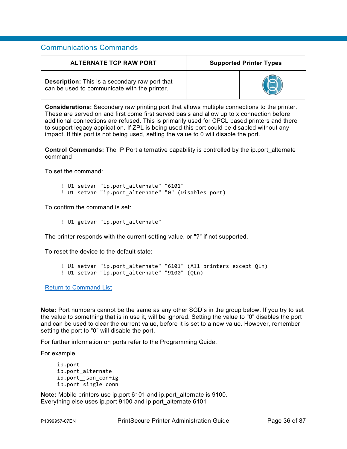<span id="page-35-0"></span>

| <b>ALTERNATE TCP RAW PORT</b>                                                                                                                                                                                                                                                                                                                                                                                                                                                            | <b>Supported Printer Types</b> |  |
|------------------------------------------------------------------------------------------------------------------------------------------------------------------------------------------------------------------------------------------------------------------------------------------------------------------------------------------------------------------------------------------------------------------------------------------------------------------------------------------|--------------------------------|--|
| <b>Description:</b> This is a secondary raw port that<br>can be used to communicate with the printer.                                                                                                                                                                                                                                                                                                                                                                                    |                                |  |
| <b>Considerations:</b> Secondary raw printing port that allows multiple connections to the printer.<br>These are served on and first come first served basis and allow up to x connection before<br>additional connections are refused. This is primarily used for CPCL based printers and there<br>to support legacy application. If ZPL is being used this port could be disabled without any<br>impact. If this port is not being used, setting the value to 0 will disable the port. |                                |  |
| <b>Control Commands:</b> The IP Port alternative capability is controlled by the ip.port alternate<br>command                                                                                                                                                                                                                                                                                                                                                                            |                                |  |
| To set the command:                                                                                                                                                                                                                                                                                                                                                                                                                                                                      |                                |  |
| ! U1 setvar "ip.port_alternate" "6101"<br>! U1 setvar "ip.port_alternate" "0" (Disables port)                                                                                                                                                                                                                                                                                                                                                                                            |                                |  |
| To confirm the command is set:                                                                                                                                                                                                                                                                                                                                                                                                                                                           |                                |  |
| ! U1 getvar "ip.port_alternate"                                                                                                                                                                                                                                                                                                                                                                                                                                                          |                                |  |
| The printer responds with the current setting value, or "?" if not supported.                                                                                                                                                                                                                                                                                                                                                                                                            |                                |  |
| To reset the device to the default state:                                                                                                                                                                                                                                                                                                                                                                                                                                                |                                |  |
| ! U1 setvar "ip.port_alternate" "6101" (All printers except QLn)<br>! U1 setvar "ip.port_alternate" "9100" (QLn)                                                                                                                                                                                                                                                                                                                                                                         |                                |  |
| <b>Return to Command List</b>                                                                                                                                                                                                                                                                                                                                                                                                                                                            |                                |  |

**Note:** Port numbers cannot be the same as any other SGD's in the group below. If you try to set the value to something that is in use it, will be ignored. Setting the value to "0" disables the port and can be used to clear the current value, before it is set to a new value. However, remember setting the port to "0" will disable the port.

For further information on ports refer to the Programming Guide.

For example:

```
ip.port
ip.port_alternate
ip.port_json_config
ip.port_single_conn
```
**Note:** Mobile printers use ip.port 6101 and ip.port\_alternate is 9100. Everything else uses ip.port 9100 and ip.port\_alternate 6101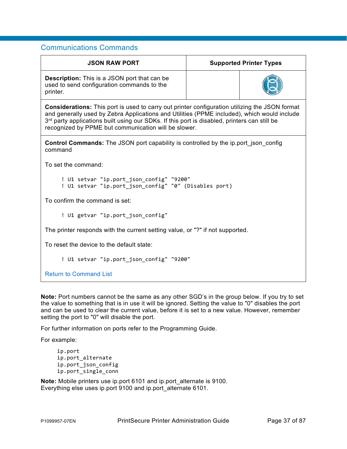| <b>JSON RAW PORT</b>                                                                                                                                                                                                                                                                                                                                         | <b>Supported Printer Types</b> |  |
|--------------------------------------------------------------------------------------------------------------------------------------------------------------------------------------------------------------------------------------------------------------------------------------------------------------------------------------------------------------|--------------------------------|--|
| <b>Description:</b> This is a JSON port that can be<br>used to send configuration commands to the<br>printer.                                                                                                                                                                                                                                                |                                |  |
| <b>Considerations:</b> This port is used to carry out printer configuration utilizing the JSON format<br>and generally used by Zebra Applications and Utilities (PPME included), which would include<br>3rd party applications built using our SDKs. If this port is disabled, printers can still be<br>recognized by PPME but communication will be slower. |                                |  |
| <b>Control Commands:</b> The JSON port capability is controlled by the ip.port json config<br>command                                                                                                                                                                                                                                                        |                                |  |
| To set the command:                                                                                                                                                                                                                                                                                                                                          |                                |  |
| ! U1 setvar "ip.port_json_config" "9200"<br>! U1 setvar "ip.port_json_config" "0" (Disables port)                                                                                                                                                                                                                                                            |                                |  |
| To confirm the command is set:                                                                                                                                                                                                                                                                                                                               |                                |  |
| ! U1 getvar "ip.port_json_config"                                                                                                                                                                                                                                                                                                                            |                                |  |
| The printer responds with the current setting value, or "?" if not supported.                                                                                                                                                                                                                                                                                |                                |  |
| To reset the device to the default state:                                                                                                                                                                                                                                                                                                                    |                                |  |
| ! U1 setvar "ip.port_json_config" "9200"                                                                                                                                                                                                                                                                                                                     |                                |  |
| <b>Return to Command List</b>                                                                                                                                                                                                                                                                                                                                |                                |  |

**Note:** Port numbers cannot be the same as any other SGD's in the group below. If you try to set the value to something that is in use it will be ignored. Setting the value to "0" disables the port and can be used to clear the current value, before it is set to a new value. However, remember setting the port to "0" will disable the port.

For further information on ports refer to the Programming Guide.

For example:

ip.port ip.port\_alternate ip.port\_json\_config ip.port\_single\_conn

**Note:** Mobile printers use ip.port 6101 and ip.port alternate is 9100. Everything else uses ip.port 9100 and ip.port\_alternate 6101.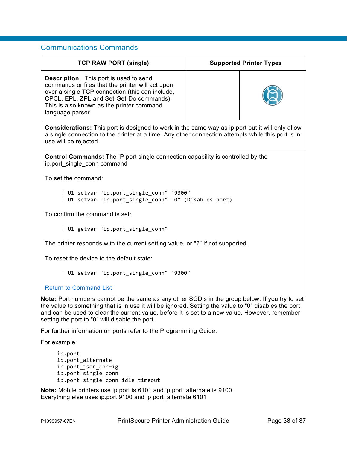| <b>TCP RAW PORT (single)</b>                                                                                                                                                                                                                                      | <b>Supported Printer Types</b> |  |
|-------------------------------------------------------------------------------------------------------------------------------------------------------------------------------------------------------------------------------------------------------------------|--------------------------------|--|
| <b>Description:</b> This port is used to send<br>commands or files that the printer will act upon<br>over a single TCP connection (this can include,<br>CPCL, EPL, ZPL and Set-Get-Do commands).<br>This is also known as the printer command<br>language parser. |                                |  |
| <b>Considerations:</b> This port is designed to work in the same way as ip port but it will only allow<br>a single connection to the printer at a time. Any other connection attempts while this port is in<br>use will be rejected.                              |                                |  |
| <b>Control Commands:</b> The IP port single connection capability is controlled by the<br>ip.port single conn command                                                                                                                                             |                                |  |
| To set the command:                                                                                                                                                                                                                                               |                                |  |
| ! U1 setvar "ip.port_single_conn" "9300"<br>! U1 setvar "ip.port_single_conn" "0" (Disables port)                                                                                                                                                                 |                                |  |
| To confirm the command is set:                                                                                                                                                                                                                                    |                                |  |
| ! U1 getvar "ip.port_single_conn"                                                                                                                                                                                                                                 |                                |  |
| The printer responds with the current setting value, or "?" if not supported.                                                                                                                                                                                     |                                |  |
| To reset the device to the default state:                                                                                                                                                                                                                         |                                |  |
| ! U1 setvar "ip.port single conn" "9300"                                                                                                                                                                                                                          |                                |  |
| <b>Return to Command List</b>                                                                                                                                                                                                                                     |                                |  |

**Note:** Port numbers cannot be the same as any other SGD's in the group below. If you try to set the value to something that is in use it will be ignored. Setting the value to "0" disables the port and can be used to clear the current value, before it is set to a new value. However, remember setting the port to "0" will disable the port.

For further information on ports refer to the Programming Guide.

For example:

```
ip.port
ip.port_alternate
ip.port_json_config
ip.port_single_conn
ip.port_single_conn_idle_timeout
```
**Note:** Mobile printers use ip.port is 6101 and ip.port alternate is 9100. Everything else uses ip.port 9100 and ip.port\_alternate 6101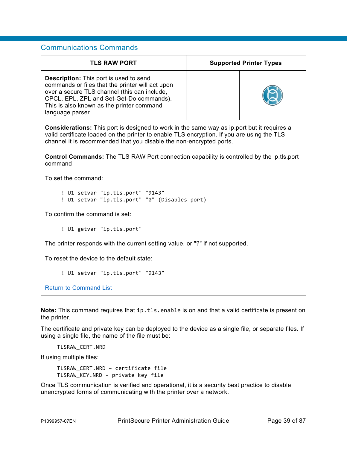| <b>TLS RAW PORT</b>                                                                                                                                                                                                                                                    |  | <b>Supported Printer Types</b> |
|------------------------------------------------------------------------------------------------------------------------------------------------------------------------------------------------------------------------------------------------------------------------|--|--------------------------------|
| <b>Description:</b> This port is used to send<br>commands or files that the printer will act upon<br>over a secure TLS channel (this can include,<br>CPCL, EPL, ZPL and Set-Get-Do commands).<br>This is also known as the printer command<br>language parser.         |  |                                |
| <b>Considerations:</b> This port is designed to work in the same way as ip.port but it requires a<br>valid certificate loaded on the printer to enable TLS encryption. If you are using the TLS<br>channel it is recommended that you disable the non-encrypted ports. |  |                                |
| <b>Control Commands:</b> The TLS RAW Port connection capability is controlled by the ip.tls.port<br>command                                                                                                                                                            |  |                                |
| To set the command:                                                                                                                                                                                                                                                    |  |                                |
| ! U1 setvar "ip.tls.port" "9143"<br>! U1 setvar "ip.tls.port" "0" (Disables port)                                                                                                                                                                                      |  |                                |
| To confirm the command is set:                                                                                                                                                                                                                                         |  |                                |
| ! U1 getvar "ip.tls.port"                                                                                                                                                                                                                                              |  |                                |
| The printer responds with the current setting value, or "?" if not supported.                                                                                                                                                                                          |  |                                |
| To reset the device to the default state:                                                                                                                                                                                                                              |  |                                |
| ! U1 setvar "ip.tls.port" "9143"                                                                                                                                                                                                                                       |  |                                |
| <b>Return to Command List</b>                                                                                                                                                                                                                                          |  |                                |

**Note:** This command requires that ip.tls.enable is on and that a valid certificate is present on the printer.

The certificate and private key can be deployed to the device as a single file, or separate files. If using a single file, the name of the file must be:

TLSRAW\_CERT.NRD

If using multiple files:

TLSRAW\_CERT.NRD – certificate file TLSRAW\_KEY.NRD – private key file

Once TLS communication is verified and operational, it is a security best practice to disable unencrypted forms of communicating with the printer over a network.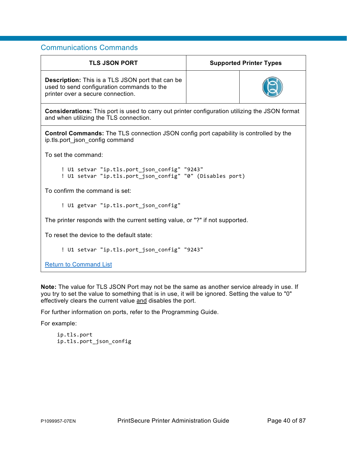| <b>TLS JSON PORT</b>                                                                                                                            | <b>Supported Printer Types</b> |  |
|-------------------------------------------------------------------------------------------------------------------------------------------------|--------------------------------|--|
| <b>Description:</b> This is a TLS JSON port that can be<br>used to send configuration commands to the<br>printer over a secure connection.      |                                |  |
| <b>Considerations:</b> This port is used to carry out printer configuration utilizing the JSON format<br>and when utilizing the TLS connection. |                                |  |
| <b>Control Commands:</b> The TLS connection JSON config port capability is controlled by the<br>ip.tls.port json config command                 |                                |  |
| To set the command:                                                                                                                             |                                |  |
| ! U1 setvar "ip.tls.port_json_config" "9243"<br>! U1 setvar "ip.tls.port_json_config" "0" (Disables port)                                       |                                |  |
| To confirm the command is set:                                                                                                                  |                                |  |
| ! U1 getvar "ip.tls.port json config"                                                                                                           |                                |  |
| The printer responds with the current setting value, or "?" if not supported.                                                                   |                                |  |
| To reset the device to the default state:                                                                                                       |                                |  |
| ! U1 setvar "ip.tls.port json config" "9243"                                                                                                    |                                |  |
| <b>Return to Command List</b>                                                                                                                   |                                |  |

**Note:** The value for TLS JSON Port may not be the same as another service already in use. If you try to set the value to something that is in use, it will be ignored. Setting the value to "0" effectively clears the current value and disables the port.

For further information on ports, refer to the Programming Guide.

For example:

ip.tls.port ip.tls.port\_json\_config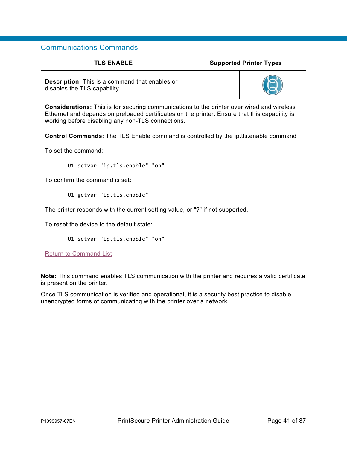| <b>TLS ENABLE</b>                                                                                                                                                                                                                                       |  | <b>Supported Printer Types</b> |
|---------------------------------------------------------------------------------------------------------------------------------------------------------------------------------------------------------------------------------------------------------|--|--------------------------------|
| <b>Description:</b> This is a command that enables or<br>disables the TLS capability.                                                                                                                                                                   |  |                                |
| <b>Considerations:</b> This is for securing communications to the printer over wired and wireless<br>Ethernet and depends on preloaded certificates on the printer. Ensure that this capability is<br>working before disabling any non-TLS connections. |  |                                |
| <b>Control Commands:</b> The TLS Enable command is controlled by the ip.tls.enable command                                                                                                                                                              |  |                                |
| To set the command:                                                                                                                                                                                                                                     |  |                                |
| ! U1 setvar "ip.tls.enable" "on"                                                                                                                                                                                                                        |  |                                |
| To confirm the command is set:                                                                                                                                                                                                                          |  |                                |
| ! U1 getvar "ip.tls.enable"                                                                                                                                                                                                                             |  |                                |
| The printer responds with the current setting value, or "?" if not supported.                                                                                                                                                                           |  |                                |
| To reset the device to the default state:                                                                                                                                                                                                               |  |                                |
| ! U1 setvar "ip.tls.enable" "on"                                                                                                                                                                                                                        |  |                                |

[Return to Command List](#page-9-0)

**Note:** This command enables TLS communication with the printer and requires a valid certificate is present on the printer.

Once TLS communication is verified and operational, it is a security best practice to disable unencrypted forms of communicating with the printer over a network.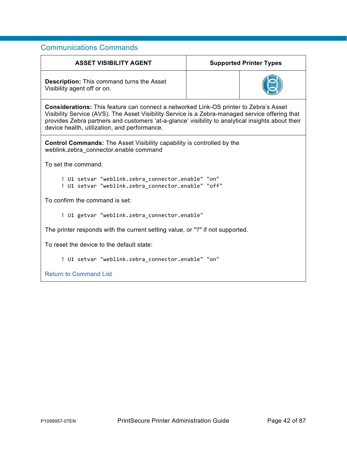| <b>ASSET VISIBILITY AGENT</b>                                                                                                                                                                                                                                                                                                                 |  | <b>Supported Printer Types</b> |
|-----------------------------------------------------------------------------------------------------------------------------------------------------------------------------------------------------------------------------------------------------------------------------------------------------------------------------------------------|--|--------------------------------|
| <b>Description:</b> This command turns the Asset<br>Visibility agent off or on.                                                                                                                                                                                                                                                               |  |                                |
| Considerations: This feature can connect a networked Link-OS printer to Zebra's Asset<br>Visibility Service (AVS). The Asset Visibility Service is a Zebra-managed service offering that<br>provides Zebra partners and customers 'at-a-glance' visibility to analytical insights about their<br>device health, utilization, and performance. |  |                                |
| <b>Control Commands:</b> The Asset Visibility capability is controlled by the<br>weblink.zebra connector.enable command                                                                                                                                                                                                                       |  |                                |
| To set the command:                                                                                                                                                                                                                                                                                                                           |  |                                |
| ! U1 setvar "weblink.zebra_connector.enable" "on"<br>! U1 setvar "weblink.zebra_connector.enable" "off"                                                                                                                                                                                                                                       |  |                                |
| To confirm the command is set:                                                                                                                                                                                                                                                                                                                |  |                                |
| ! U1 getvar "weblink.zebra_connector.enable"                                                                                                                                                                                                                                                                                                  |  |                                |
| The printer responds with the current setting value, or "?" if not supported.                                                                                                                                                                                                                                                                 |  |                                |
| To reset the device to the default state:                                                                                                                                                                                                                                                                                                     |  |                                |
| ! U1 setvar "weblink.zebra_connector.enable" "on"                                                                                                                                                                                                                                                                                             |  |                                |
| <b>Return to Command List</b>                                                                                                                                                                                                                                                                                                                 |  |                                |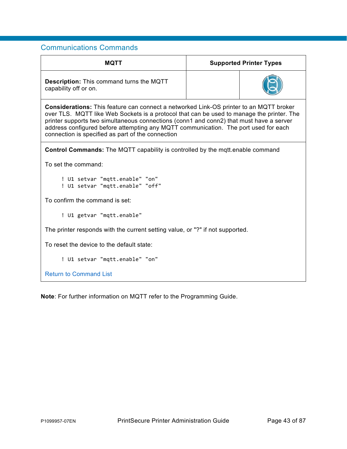| MQTT                                                                                                                                                                                                                                                                                                                                                                                                                              |  | <b>Supported Printer Types</b> |
|-----------------------------------------------------------------------------------------------------------------------------------------------------------------------------------------------------------------------------------------------------------------------------------------------------------------------------------------------------------------------------------------------------------------------------------|--|--------------------------------|
| <b>Description:</b> This command turns the MQTT<br>capability off or on.                                                                                                                                                                                                                                                                                                                                                          |  |                                |
| <b>Considerations:</b> This feature can connect a networked Link-OS printer to an MQTT broker<br>over TLS. MQTT like Web Sockets is a protocol that can be used to manage the printer. The<br>printer supports two simultaneous connections (conn1 and conn2) that must have a server<br>address configured before attempting any MQTT communication. The port used for each<br>connection is specified as part of the connection |  |                                |
| <b>Control Commands:</b> The MQTT capability is controlled by the mqtt.enable command                                                                                                                                                                                                                                                                                                                                             |  |                                |
| To set the command:                                                                                                                                                                                                                                                                                                                                                                                                               |  |                                |
| ! U1 setvar "mqtt.enable" "on"<br>! U1 setvar "mqtt.enable" "off"                                                                                                                                                                                                                                                                                                                                                                 |  |                                |
| To confirm the command is set:                                                                                                                                                                                                                                                                                                                                                                                                    |  |                                |
| ! U1 getvar "mqtt.enable"                                                                                                                                                                                                                                                                                                                                                                                                         |  |                                |
| The printer responds with the current setting value, or "?" if not supported.                                                                                                                                                                                                                                                                                                                                                     |  |                                |
| To reset the device to the default state:                                                                                                                                                                                                                                                                                                                                                                                         |  |                                |
| ! U1 setvar "mqtt.enable" "on"                                                                                                                                                                                                                                                                                                                                                                                                    |  |                                |
| <b>Return to Command List</b>                                                                                                                                                                                                                                                                                                                                                                                                     |  |                                |

**Note**: For further information on MQTT refer to the Programming Guide.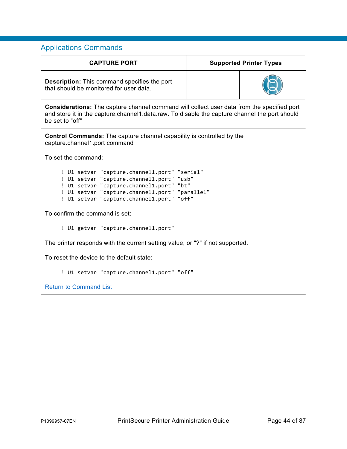| <b>CAPTURE PORT</b>                                                                                                                                                                                                                  | <b>Supported Printer Types</b> |  |
|--------------------------------------------------------------------------------------------------------------------------------------------------------------------------------------------------------------------------------------|--------------------------------|--|
| <b>Description:</b> This command specifies the port<br>that should be monitored for user data.                                                                                                                                       |                                |  |
| <b>Considerations:</b> The capture channel command will collect user data from the specified port<br>and store it in the capture.channel1.data.raw. To disable the capture channel the port should<br>be set to "off"                |                                |  |
| <b>Control Commands:</b> The capture channel capability is controlled by the<br>capture.channel1.port command                                                                                                                        |                                |  |
| To set the command:                                                                                                                                                                                                                  |                                |  |
| ! U1 setvar "capture.channel1.port" "serial"<br>! U1 setvar "capture.channel1.port" "usb"<br>! U1 setvar "capture.channel1.port" "bt"<br>! U1 setvar "capture.channel1.port" "parallel"<br>! U1 setvar "capture.channel1.port" "off" |                                |  |
| To confirm the command is set:                                                                                                                                                                                                       |                                |  |
| ! U1 getvar "capture.channel1.port"                                                                                                                                                                                                  |                                |  |
| The printer responds with the current setting value, or "?" if not supported.                                                                                                                                                        |                                |  |
| To reset the device to the default state:                                                                                                                                                                                            |                                |  |
| ! U1 setvar "capture.channel1.port" "off"                                                                                                                                                                                            |                                |  |
| <b>Return to Command List</b>                                                                                                                                                                                                        |                                |  |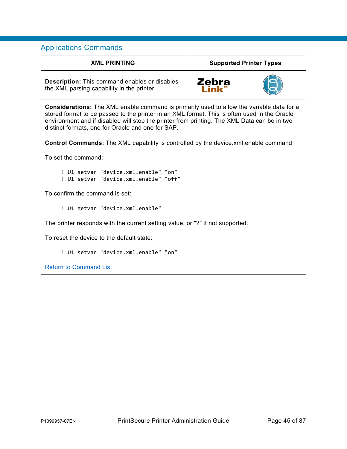| <b>XML PRINTING</b>                                                                                                                                                                                                                                                                                                                                  | <b>Supported Printer Types</b> |  |
|------------------------------------------------------------------------------------------------------------------------------------------------------------------------------------------------------------------------------------------------------------------------------------------------------------------------------------------------------|--------------------------------|--|
| <b>Description:</b> This command enables or disables<br>the XML parsing capability in the printer                                                                                                                                                                                                                                                    | Zebra                          |  |
| <b>Considerations:</b> The XML enable command is primarily used to allow the variable data for a<br>stored format to be passed to the printer in an XML format. This is often used in the Oracle<br>environment and if disabled will stop the printer from printing. The XML Data can be in two<br>distinct formats, one for Oracle and one for SAP. |                                |  |
| <b>Control Commands:</b> The XML capability is controlled by the device.xml.enable command                                                                                                                                                                                                                                                           |                                |  |
| To set the command:                                                                                                                                                                                                                                                                                                                                  |                                |  |
| ! U1 setvar "device.xml.enable" "on"<br>! U1 setvar "device.xml.enable" "off"                                                                                                                                                                                                                                                                        |                                |  |
| To confirm the command is set:                                                                                                                                                                                                                                                                                                                       |                                |  |
| ! U1 getvar "device.xml.enable"                                                                                                                                                                                                                                                                                                                      |                                |  |
| The printer responds with the current setting value, or "?" if not supported.                                                                                                                                                                                                                                                                        |                                |  |
| To reset the device to the default state:                                                                                                                                                                                                                                                                                                            |                                |  |
| ! U1 setvar "device.xml.enable" "on"                                                                                                                                                                                                                                                                                                                 |                                |  |
| <b>Return to Command List</b>                                                                                                                                                                                                                                                                                                                        |                                |  |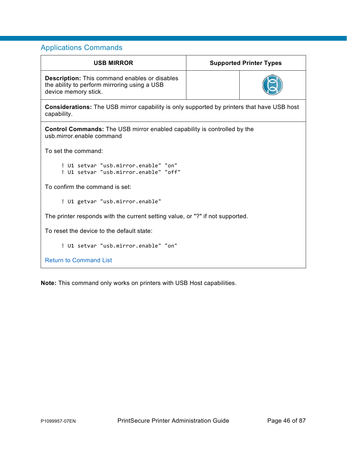| <b>USB MIRROR</b>                                                                                                            | <b>Supported Printer Types</b> |  |
|------------------------------------------------------------------------------------------------------------------------------|--------------------------------|--|
| <b>Description:</b> This command enables or disables<br>the ability to perform mirroring using a USB<br>device memory stick. |                                |  |
| <b>Considerations:</b> The USB mirror capability is only supported by printers that have USB host<br>capability.             |                                |  |
| <b>Control Commands:</b> The USB mirror enabled capability is controlled by the<br>usb mirror enable command                 |                                |  |
| To set the command:                                                                                                          |                                |  |
| ! U1 setvar "usb.mirror.enable" "on"<br>! U1 setvar "usb.mirror.enable" "off"                                                |                                |  |
| To confirm the command is set:                                                                                               |                                |  |
| ! U1 getvar "usb.mirror.enable"                                                                                              |                                |  |
| The printer responds with the current setting value, or "?" if not supported.                                                |                                |  |
| To reset the device to the default state:                                                                                    |                                |  |
| ! U1 setvar "usb.mirror.enable" "on"                                                                                         |                                |  |
| <b>Return to Command List</b>                                                                                                |                                |  |

**Note:** This command only works on printers with USB Host capabilities.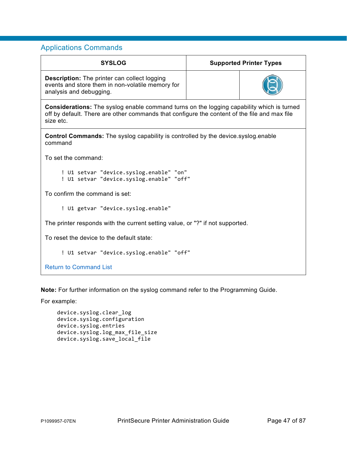| <b>SYSLOG</b>                                                                                                                                                                                                 |  | <b>Supported Printer Types</b> |
|---------------------------------------------------------------------------------------------------------------------------------------------------------------------------------------------------------------|--|--------------------------------|
| <b>Description:</b> The printer can collect logging<br>events and store them in non-volatile memory for<br>analysis and debugging.                                                                            |  |                                |
| <b>Considerations:</b> The syslog enable command turns on the logging capability which is turned<br>off by default. There are other commands that configure the content of the file and max file<br>size etc. |  |                                |
| <b>Control Commands:</b> The syslog capability is controlled by the device syslog enable<br>command                                                                                                           |  |                                |
| To set the command:                                                                                                                                                                                           |  |                                |
| ! U1 setvar "device.syslog.enable" "on"<br>! U1 setvar "device.syslog.enable" "off"                                                                                                                           |  |                                |
| To confirm the command is set:                                                                                                                                                                                |  |                                |
| ! U1 getvar "device.syslog.enable"                                                                                                                                                                            |  |                                |
| The printer responds with the current setting value, or "?" if not supported.                                                                                                                                 |  |                                |
| To reset the device to the default state:                                                                                                                                                                     |  |                                |
| ! U1 setvar "device.syslog.enable" "off"                                                                                                                                                                      |  |                                |
| <b>Return to Command List</b>                                                                                                                                                                                 |  |                                |

**Note:** For further information on the syslog command refer to the Programming Guide.

For example:

```
device.syslog.clear log
device.syslog.configuration
device.syslog.entries
device.syslog.log_max_file_size
device.syslog.save_local_file
```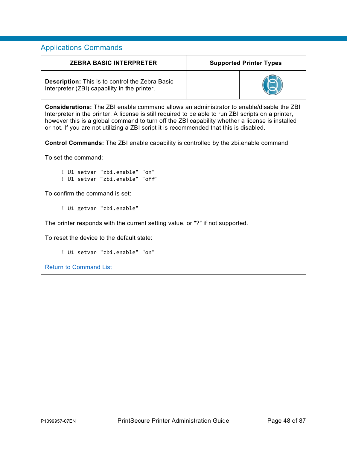| <b>ZEBRA BASIC INTERPRETER</b>                                                                                                                                                                                                                                                                                                                                                                     |  | <b>Supported Printer Types</b> |
|----------------------------------------------------------------------------------------------------------------------------------------------------------------------------------------------------------------------------------------------------------------------------------------------------------------------------------------------------------------------------------------------------|--|--------------------------------|
| <b>Description:</b> This is to control the Zebra Basic<br>Interpreter (ZBI) capability in the printer.                                                                                                                                                                                                                                                                                             |  |                                |
| <b>Considerations:</b> The ZBI enable command allows an administrator to enable/disable the ZBI<br>Interpreter in the printer. A license is still required to be able to run ZBI scripts on a printer,<br>however this is a global command to turn off the ZBI capability whether a license is installed<br>or not. If you are not utilizing a ZBI script it is recommended that this is disabled. |  |                                |
| <b>Control Commands:</b> The ZBI enable capability is controlled by the zbi.enable command                                                                                                                                                                                                                                                                                                         |  |                                |
| To set the command:                                                                                                                                                                                                                                                                                                                                                                                |  |                                |
| ! U1 setvar "zbi.enable" "on"<br>! U1 setvar "zbi.enable" "off"                                                                                                                                                                                                                                                                                                                                    |  |                                |
| To confirm the command is set:                                                                                                                                                                                                                                                                                                                                                                     |  |                                |
| ! U1 getvar "zbi.enable"                                                                                                                                                                                                                                                                                                                                                                           |  |                                |
| The printer responds with the current setting value, or "?" if not supported.                                                                                                                                                                                                                                                                                                                      |  |                                |
| To reset the device to the default state:                                                                                                                                                                                                                                                                                                                                                          |  |                                |
| ! U1 setvar "zbi.enable" "on"                                                                                                                                                                                                                                                                                                                                                                      |  |                                |
| <b>Return to Command List</b>                                                                                                                                                                                                                                                                                                                                                                      |  |                                |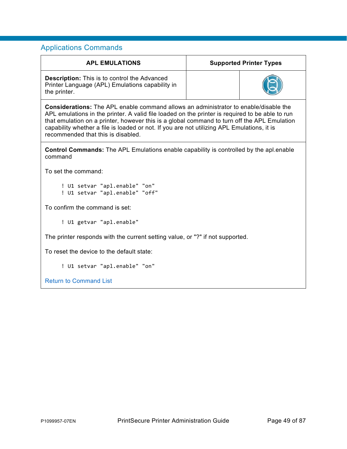| <b>APL EMULATIONS</b>                                                                                                                                                                                                                                                                                                                                                                                                             | <b>Supported Printer Types</b> |  |  |  |
|-----------------------------------------------------------------------------------------------------------------------------------------------------------------------------------------------------------------------------------------------------------------------------------------------------------------------------------------------------------------------------------------------------------------------------------|--------------------------------|--|--|--|
| <b>Description:</b> This is to control the Advanced<br>Printer Language (APL) Emulations capability in<br>the printer.                                                                                                                                                                                                                                                                                                            |                                |  |  |  |
| <b>Considerations:</b> The APL enable command allows an administrator to enable/disable the<br>APL emulations in the printer. A valid file loaded on the printer is required to be able to run<br>that emulation on a printer, however this is a global command to turn off the APL Emulation<br>capability whether a file is loaded or not. If you are not utilizing APL Emulations, it is<br>recommended that this is disabled. |                                |  |  |  |
| <b>Control Commands:</b> The APL Emulations enable capability is controlled by the apl.enable<br>command                                                                                                                                                                                                                                                                                                                          |                                |  |  |  |
| To set the command:                                                                                                                                                                                                                                                                                                                                                                                                               |                                |  |  |  |
| ! U1 setvar "apl.enable" "on"<br>! U1 setvar "apl.enable" "off"                                                                                                                                                                                                                                                                                                                                                                   |                                |  |  |  |
| To confirm the command is set:                                                                                                                                                                                                                                                                                                                                                                                                    |                                |  |  |  |
| ! U1 getvar "apl.enable"                                                                                                                                                                                                                                                                                                                                                                                                          |                                |  |  |  |
| The printer responds with the current setting value, or "?" if not supported.                                                                                                                                                                                                                                                                                                                                                     |                                |  |  |  |
| To reset the device to the default state:                                                                                                                                                                                                                                                                                                                                                                                         |                                |  |  |  |
| ! U1 setvar "apl.enable" "on"                                                                                                                                                                                                                                                                                                                                                                                                     |                                |  |  |  |
| <b>Return to Command List</b>                                                                                                                                                                                                                                                                                                                                                                                                     |                                |  |  |  |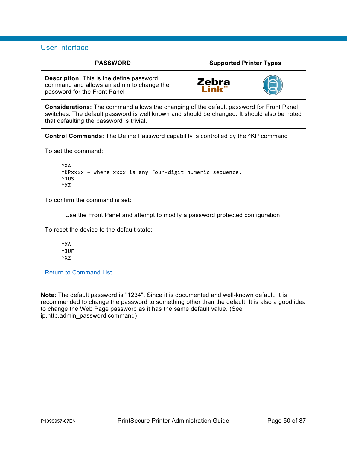## User Interface

| <b>PASSWORD</b>                                                                                                                                                                                                                           | <b>Supported Printer Types</b> |  |  |  |  |
|-------------------------------------------------------------------------------------------------------------------------------------------------------------------------------------------------------------------------------------------|--------------------------------|--|--|--|--|
| <b>Description:</b> This is the define password<br>command and allows an admin to change the<br>password for the Front Panel                                                                                                              | Zebra                          |  |  |  |  |
| <b>Considerations:</b> The command allows the changing of the default password for Front Panel<br>switches. The default password is well known and should be changed. It should also be noted<br>that defaulting the password is trivial. |                                |  |  |  |  |
| <b>Control Commands:</b> The Define Password capability is controlled by the <sup>^</sup> KP command                                                                                                                                      |                                |  |  |  |  |
| To set the command:                                                                                                                                                                                                                       |                                |  |  |  |  |
| $^{\wedge}X$ A<br>^KPxxxx - where xxxx is any four-digit numeric sequence.<br>^JUS<br>$\wedge$ XZ                                                                                                                                         |                                |  |  |  |  |
| To confirm the command is set:                                                                                                                                                                                                            |                                |  |  |  |  |
| Use the Front Panel and attempt to modify a password protected configuration.                                                                                                                                                             |                                |  |  |  |  |
| To reset the device to the default state:                                                                                                                                                                                                 |                                |  |  |  |  |
| $^{\wedge}$ XA<br>^JUF<br>$\wedge$ XZ                                                                                                                                                                                                     |                                |  |  |  |  |
| <b>Return to Command List</b>                                                                                                                                                                                                             |                                |  |  |  |  |

**Note**: The default password is "1234". Since it is documented and well-known default, it is recommended to change the password to something other than the default. It is also a good idea to change the Web Page password as it has the same default value. (See ip.http.admin\_password command)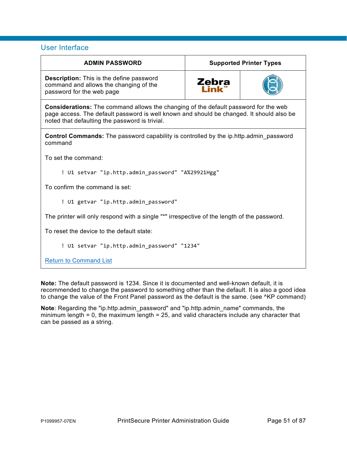## User Interface

| <b>ADMIN PASSWORD</b>                                                                                                                                                                                                                    | <b>Supported Printer Types</b>     |  |  |  |
|------------------------------------------------------------------------------------------------------------------------------------------------------------------------------------------------------------------------------------------|------------------------------------|--|--|--|
| <b>Description:</b> This is the define password<br>command and allows the changing of the<br>password for the web page                                                                                                                   | <b>Zebra</b><br>l ink <sup>"</sup> |  |  |  |
| <b>Considerations:</b> The command allows the changing of the default password for the web<br>page access. The default password is well known and should be changed. It should also be<br>noted that defaulting the password is trivial. |                                    |  |  |  |
| <b>Control Commands:</b> The password capability is controlled by the ip.http.admin password<br>command                                                                                                                                  |                                    |  |  |  |
| To set the command:                                                                                                                                                                                                                      |                                    |  |  |  |
| ! U1 setvar "ip.http.admin_password" "A%29921Hgg"                                                                                                                                                                                        |                                    |  |  |  |
| To confirm the command is set:                                                                                                                                                                                                           |                                    |  |  |  |
| ! U1 getvar "ip.http.admin_password"                                                                                                                                                                                                     |                                    |  |  |  |
| The printer will only respond with a single "*" irrespective of the length of the password.                                                                                                                                              |                                    |  |  |  |
| To reset the device to the default state:                                                                                                                                                                                                |                                    |  |  |  |
| ! U1 setvar "ip.http.admin_password" "1234"                                                                                                                                                                                              |                                    |  |  |  |
|                                                                                                                                                                                                                                          |                                    |  |  |  |

**[Return to Command List](#page-9-0)** 

**Note:** The default password is 1234. Since it is documented and well-known default, it is recommended to change the password to something other than the default. It is also a good idea to change the value of the Front Panel password as the default is the same. (see ^KP command)

**Note**: Regarding the "ip.http.admin\_password" and "ip.http.admin\_name" commands, the minimum length = 0, the maximum length = 25, and valid characters include any character that can be passed as a string.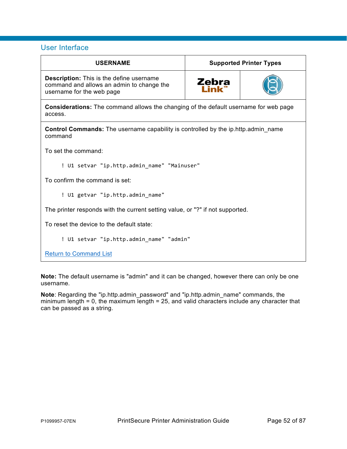## User Interface

| <b>USERNAME</b>                                                                                                           | <b>Supported Printer Types</b> |  |  |  |
|---------------------------------------------------------------------------------------------------------------------------|--------------------------------|--|--|--|
| <b>Description:</b> This is the define username<br>command and allows an admin to change the<br>username for the web page | Zebra                          |  |  |  |
| <b>Considerations:</b> The command allows the changing of the default username for web page<br>access.                    |                                |  |  |  |
| <b>Control Commands:</b> The username capability is controlled by the ip.http.admin name<br>command                       |                                |  |  |  |
| To set the command:                                                                                                       |                                |  |  |  |
| ! U1 setvar "ip.http.admin_name" "Mainuser"                                                                               |                                |  |  |  |
| To confirm the command is set:                                                                                            |                                |  |  |  |
| ! U1 getvar "ip.http.admin name"                                                                                          |                                |  |  |  |
| The printer responds with the current setting value, or "?" if not supported.                                             |                                |  |  |  |
| To reset the device to the default state:                                                                                 |                                |  |  |  |
| ! U1 setvar "ip.http.admin_name" "admin"                                                                                  |                                |  |  |  |
|                                                                                                                           |                                |  |  |  |

**[Return to Command List](#page-9-0)** 

**Note:** The default username is "admin" and it can be changed, however there can only be one username.

**Note**: Regarding the "ip.http.admin\_password" and "ip.http.admin\_name" commands, the minimum length = 0, the maximum length = 25, and valid characters include any character that can be passed as a string.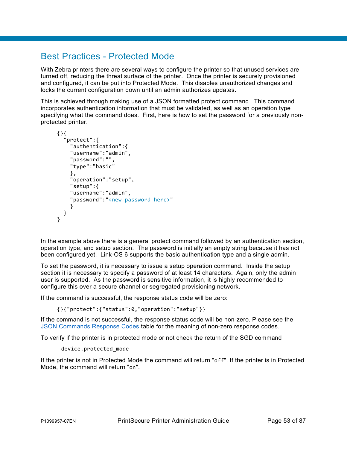# Best Practices - Protected Mode

With Zebra printers there are several ways to configure the printer so that unused services are turned off, reducing the threat surface of the printer. Once the printer is securely provisioned and configured, it can be put into Protected Mode. This disables unauthorized changes and locks the current configuration down until an admin authorizes updates.

This is achieved through making use of a JSON formatted protect command. This command incorporates authentication information that must be validated, as well as an operation type specifying what the command does. First, here is how to set the password for a previously nonprotected printer.

```
{}{
    "protect":{ 
      "authentication":{
      "username":"admin", 
     "password":"", 
      "type":"basic" 
      },
      "operation":"setup", 
     "setup":{
     "username":"admin", 
      "password":"<new password here>" 
     } 
   } 
}
```
In the example above there is a general protect command followed by an authentication section, operation type, and setup section. The password is initially an empty string because it has not been configured yet. Link-OS 6 supports the basic authentication type and a single admin.

To set the password, it is necessary to issue a setup operation command. Inside the setup section it is necessary to specify a password of at least 14 characters. Again, only the admin user is supported. As the password is sensitive information, it is highly recommended to configure this over a secure channel or segregated provisioning network.

If the command is successful, the response status code will be zero:

{}{"protect":{"status":0,"operation":"setup"}}

If the command is not successful, the response status code will be non-zero. Please see the [JSON Commands Response Codes](#page-86-0) table for the meaning of non-zero response codes.

To verify if the printer is in protected mode or not check the return of the SGD command

```
device.protected_mode
```
If the printer is not in Protected Mode the command will return "off". If the printer is in Protected Mode, the command will return "on".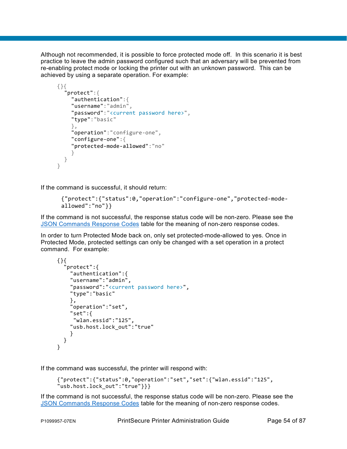Although not recommended, it is possible to force protected mode off. In this scenario it is best practice to leave the admin password configured such that an adversary will be prevented from re-enabling protect mode or locking the printer out with an unknown password. This can be achieved by using a separate operation. For example:

```
{}{ 
   "protect":{ 
      "authentication":{ 
      "username":"admin",
      "password":"<current password here>",
      "type":"basic"
      },
      "operation":"configure-one",
      "configure-one":{ 
      "protected-mode-allowed":"no"
      }
   }
}
```
If the command is successful, it should return:

```
{"protect":{"status":0,"operation":"configure-one","protected-mode-
allowed":"no"}}
```
If the command is not successful, the response status code will be non-zero. Please see the [JSON Commands Response Codes](#page-86-0) table for the meaning of non-zero response codes.

In order to turn Protected Mode back on, only set protected-mode-allowed to yes. Once in Protected Mode, protected settings can only be changed with a set operation in a protect command. For example:

```
{}{
   protect":{
     "authentication":{
     "username":"admin", 
      "password":"<current password here>", 
     "type":"basic" 
     },
     "operation":"set", 
      "set":{
       "wlan.essid":"125", 
     "usb.host.lock_out":"true" 
     } 
  } 
}
```
If the command was successful, the printer will respond with:

```
{"protect":{"status":0,"operation":"set","set":{"wlan.essid":"125", 
"usb.host.lock out":"true"}}}
```
If the command is not successful, the response status code will be non-zero. Please see the [JSON Commands Response Codes](#page-86-0) table for the meaning of non-zero response codes.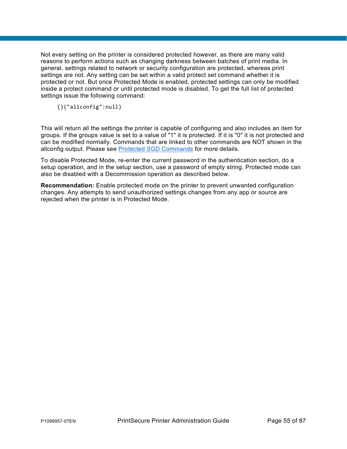Not every setting on the printer is considered protected however, as there are many valid reasons to perform actions such as changing darkness between batches of print media. In general, settings related to network or security configuration are protected, whereas print settings are not. Any setting can be set within a valid protect set command whether it is protected or not. But once Protected Mode is enabled, protected settings can only be modified inside a protect command or until protected mode is disabled. To get the full list of protected settings issue the following command:

{}{"allconfig":null}

This will return all the settings the printer is capable of configuring and also includes an item for groups. If the groups value is set to a value of "1" it is protected. If it is "0" it is not protected and can be modified normally. Commands that are linked to other commands are NOT shown in the allconfig output. Please see [Protected SGD Commands](#page-82-0) for more details.

To disable Protected Mode, re-enter the current password in the authentication section, do a setup operation, and in the setup section, use a password of empty string. Protected mode can also be disabled with a Decommission operation as described below.

**Recommendation:** Enable protected mode on the printer to prevent unwanted configuration changes. Any attempts to send unauthorized settings changes from any app or source are rejected when the printer is in Protected Mode.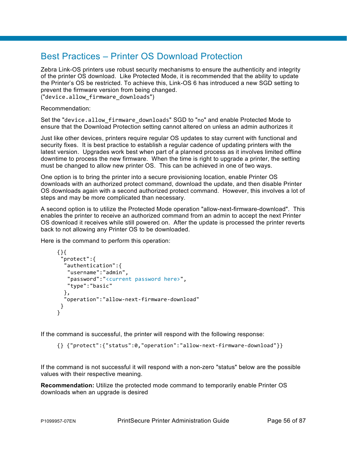# Best Practices – Printer OS Download Protection

Zebra Link-OS printers use robust security mechanisms to ensure the authenticity and integrity of the printer OS download. Like Protected Mode, it is recommended that the ability to update the Printer's OS be restricted. To achieve this, Link-OS 6 has introduced a new SGD setting to prevent the firmware version from being changed.

("device.allow\_firmware\_downloads")

Recommendation:

Set the "device.allow firmware downloads" SGD to "no" and enable Protected Mode to ensure that the Download Protection setting cannot altered on unless an admin authorizes it

Just like other devices, printers require regular OS updates to stay current with functional and security fixes. It is best practice to establish a regular cadence of updating printers with the latest version. Upgrades work best when part of a planned process as it involves limited offline downtime to process the new firmware. When the time is right to upgrade a printer, the setting must be changed to allow new printer OS. This can be achieved in one of two ways.

One option is to bring the printer into a secure provisioning location, enable Printer OS downloads with an authorized protect command, download the update, and then disable Printer OS downloads again with a second authorized protect command. However, this involves a lot of steps and may be more complicated than necessary.

A second option is to utilize the Protected Mode operation "allow-next-firmware-download". This enables the printer to receive an authorized command from an admin to accept the next Printer OS download it receives while still powered on. After the update is processed the printer reverts back to not allowing any Printer OS to be downloaded.

Here is the command to perform this operation:

```
{}{
  "protect":{
   "authentication":{
    "username":"admin",
    "password":"<current password here>",
    "type":"basic"
   },
   "operation":"allow-next-firmware-download"
  }
}
```
If the command is successful, the printer will respond with the following response:

{} {"protect":{"status":0,"operation":"allow-next-firmware-download"}}

If the command is not successful it will respond with a non-zero "status" below are the possible values with their respective meaning.

**Recommendation:** Utilize the protected mode command to temporarily enable Printer OS downloads when an upgrade is desired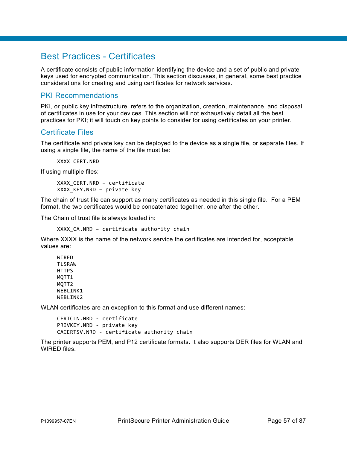# Best Practices - Certificates

A certificate consists of public information identifying the device and a set of public and private keys used for encrypted communication. This section discusses, in general, some best practice considerations for creating and using certificates for network services.

## PKI Recommendations

PKI, or public key infrastructure, refers to the organization, creation, maintenance, and disposal of certificates in use for your devices. This section will not exhaustively detail all the best practices for PKI; it will touch on key points to consider for using certificates on your printer.

## Certificate Files

The certificate and private key can be deployed to the device as a single file, or separate files. If using a single file, the name of the file must be:

XXXX CERT.NRD

If using multiple files:

XXXX CERT.NRD - certificate XXXX KEY.NRD – private key

The chain of trust file can support as many certificates as needed in this single file. For a PEM format, the two certificates would be concatenated together, one after the other.

The Chain of trust file is always loaded in:

```
XXXX CA.NRD - certificate authority chain
```
Where XXXX is the name of the network service the certificates are intended for, acceptable values are:

**WIRFD TI SRAW HTTPS** MQTT1 MQTT2 WEBLINK1 WEBLINK2

WLAN certificates are an exception to this format and use different names:

CERTCLN.NRD - certificate PRIVKEY.NRD - private key CACERTSV.NRD - certificate authority chain

The printer supports PEM, and P12 certificate formats. It also supports DER files for WLAN and WIRED files.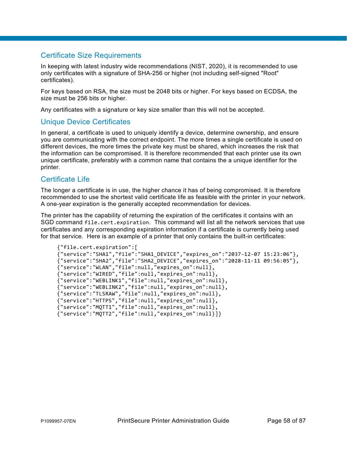# Certificate Size Requirements

In keeping with latest industry wide recommendations (NIST, 2020), it is recommended to use only certificates with a signature of SHA-256 or higher (not including self-signed "Root" certificates).

For keys based on RSA, the size must be 2048 bits or higher. For keys based on ECDSA, the size must be 256 bits or higher.

Any certificates with a signature or key size smaller than this will not be accepted.

### Unique Device Certificates

In general, a certificate is used to uniquely identify a device, determine ownership, and ensure you are communicating with the correct endpoint. The more times a single certificate is used on different devices, the more times the private key must be shared, which increases the risk that the information can be compromised. It is therefore recommended that each printer use its own unique certificate, preferably with a common name that contains the a unique identifier for the printer.

### Certificate Life

The longer a certificate is in use, the higher chance it has of being compromised. It is therefore recommended to use the shortest valid certificate life as feasible with the printer in your network. A one-year expiration is the generally accepted recommendation for devices.

The printer has the capability of returning the expiration of the certificates it contains with an SGD command file.cert.expiration. This command will list all the network services that use certificates and any corresponding expiration information if a certificate is currently being used for that service. Here is an example of a printer that only contains the built-in certificates:

```
{"file.cert.expiration":[
{"service":"SHA1","file":"SHA1_DEVICE","expires_on":"2037-12-07 15:23:06"},
{"service":"SHA2","file":"SHA2_DEVICE","expires_on":"2028-11-11 09:56:05"},
{"service":"WLAN","file":null,"expires_on":null},
{"service":"WIRED","file":null,"expires_on":null},
{"service":"WEBLINK1","file":null,"expires_on":null},
{"service":"WEBLINK2","file":null,"expires_on":null},
{"service":"TLSRAW","file":null,"expires_on":null},
{"service":"HTTPS","file":null,"expires_on":null},
{"service":"MQTT1","file":null,"expires_on":null},
{"service":"MQTT2","file":null,"expires_on":null}]}
```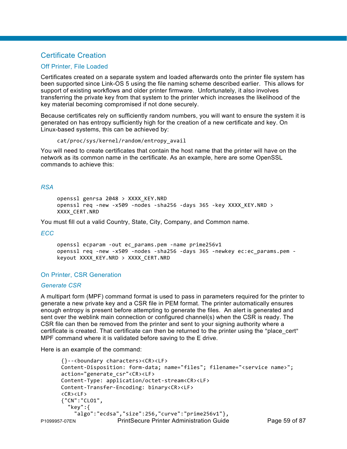## Certificate Creation

### Off Printer, File Loaded

Certificates created on a separate system and loaded afterwards onto the printer file system has been supported since Link-OS 5 using the file naming scheme described earlier. This allows for support of existing workflows and older printer firmware. Unfortunately, it also involves transferring the private key from that system to the printer which increases the likelihood of the key material becoming compromised if not done securely.

Because certificates rely on sufficiently random numbers, you will want to ensure the system it is generated on has entropy sufficiently high for the creation of a new certificate and key. On Linux-based systems, this can be achieved by:

```
cat/proc/sys/kernel/random/entropy_avail
```
You will need to create certificates that contain the host name that the printer will have on the network as its common name in the certificate. As an example, here are some OpenSSL commands to achieve this:

### *RSA*

```
openssl genrsa 2048 > XXXX_KEY.NRD
openssl req -new -x509 -nodes -sha256 -days 365 -key XXXX_KEY.NRD > 
XXXX_CERT.NRD
```
You must fill out a valid Country, State, City, Company, and Common name.

### *ECC*

openssl ecparam -out ec\_params.pem -name prime256v1 openssl req -new -x509 -nodes -sha256 -days 365 -newkey ec:ec\_params.pem keyout XXXX\_KEY.NRD > XXXX\_CERT.NRD

### On Printer, CSR Generation

### *Generate CSR*

A multipart form (MPF) command format is used to pass in parameters required for the printer to generate a new private key and a CSR file in PEM format. The printer automatically ensures enough entropy is present before attempting to generate the files. An alert is generated and sent over the weblink main connection or configured channel(s) when the CSR is ready. The CSR file can then be removed from the printer and sent to your signing authority where a certificate is created. That certificate can then be returned to the printer using the "place\_cert" MPF command where it is validated before saving to the E drive.

Here is an example of the command:

```
P1099957-07EN PrintSecure Printer Administration Guide Page 59 of 87
      {}--<boundary characters><CR><LF>
      Content-Disposition: form-data; name="files"; filename="<service name>"; 
      action="generate_csr"<CR><LF>
      Content-Type: application/octet-stream<CR><LF>
      Content-Transfer-Encoding: binary<CR><LF>
      <CR><LF>
      {"CN":"CLO1",
         "key":{
           "algo":"ecdsa","size":256,"curve":"prime256v1"},
```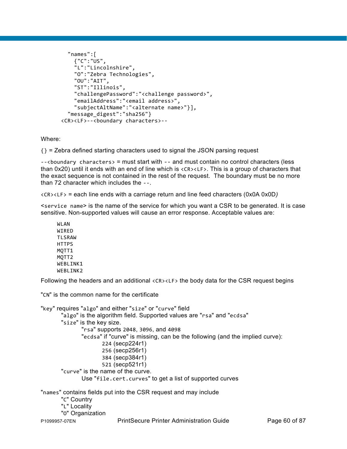```
 "names":[
     {"C":"US",
     "L":"Lincolnshire",
     "O":"Zebra Technologies",
     "OU":"AIT",
     "ST":"Illinois",
     "challengePassword":"<challenge password>",
     "emailAddress":"<email address>",
     "subjectAltName":"<alternate name>"}],
   "message_digest":"sha256"}
<CR><LF>--<boundary characters>--
```
Where:

{} = Zebra defined starting characters used to signal the JSON parsing request

--<boundary characters> = must start with -- and must contain no control characters (less than 0x20) until it ends with an end of line which is <CR><LF>. This is a group of characters that the exact sequence is not contained in the rest of the request. The boundary must be no more than 72 character which includes the --.

<CR><LF> = each line ends with a carriage return and line feed characters (0x0A 0x0D*)*

<service name> is the name of the service for which you want a CSR to be generated. It is case sensitive. Non-supported values will cause an error response. Acceptable values are:

WLAN WIRED TLSRAW **HTTPS** MQTT1 MOTT<sub>2</sub> WFBI TNK1 WEBLINK2

Following the headers and an additional <CR><LF> the body data for the CSR request begins

"CN" is the common name for the certificate

```
"key" requires "algo" and either "size" or "curve" field
       "algo" is the algorithm field. Supported values are "rsa" and "ecdsa"
       "size" is the key size. 
               "rsa" supports 2048, 3096, and 4098
               "ecdsa" if "curve" is missing, can be the following (and the implied curve): 
                      224 (secp224r1) 
                      256 (secp256r1) 
                      384 (secp384r1) 
                      521 (secp521r1)
       "curve" is the name of the curve. 
               Use "file.cert.curves" to get a list of supported curves
"names" contains fields put into the CSR request and may include
       "C" Country
       "L" Locality
       "O" Organization
```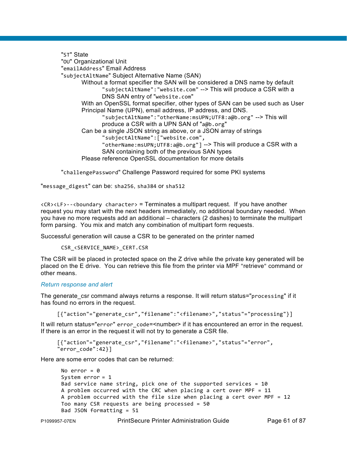"ST" State "OU" Organizational Unit "emailAddress" Email Address "subjectAltName" Subject Alternative Name (SAN) Without a format specifier the SAN will be considered a DNS name by default "subjectAltName":"website.com" --> This will produce a CSR with a DNS SAN entry of "website.com" With an OpenSSL format specifier, other types of SAN can be used such as User Principal Name (UPN), email address, IP address, and DNS. "subjectAltName":"otherName:msUPN;UTF8:a@b.org" --> This will produce a CSR with a UPN SAN of "a@b.org" Can be a single JSON string as above, or a JSON array of strings "subjectAltName":["website.com", "otherName:msUPN;UTF8:a@b.org"] --> This will produce a CSR with a SAN containing both of the previous SAN types Please reference OpenSSL documentation for more details

"challengePassword" Challenge Password required for some PKI systems

"message\_digest" can be: sha256, sha384 or sha512

 $<$ CR $>$ LF $>$ - $<$ boundary character $>$  = Terminates a multipart request. If you have another request you may start with the next headers immediately, no additional boundary needed. When you have no more requests add an additional *–* characters (2 dashes) to terminate the multipart form parsing. You mix and match any combination of multipart form requests.

Successful generation will cause a CSR to be generated on the printer named

```
CSR_<SERVICE_NAME>_CERT.CSR
```
The CSR will be placed in protected space on the Z drive while the private key generated will be placed on the E drive. You can retrieve this file from the printer via MPF "retrieve" command or other means.

#### *Return response and alert*

The generate csr command always returns a response. It will return status="processing" if it has found no errors in the request.

[{"action"="generate\_csr","filename":"<filename>","status"="processing"}]

It will return status="error" error code=<number> if it has encountered an error in the request. If there is an error in the request it will not try to generate a CSR file.

```
[{"action"="generate_csr","filename":"<filename>","status"="error",
"error_code":42}]
```
Here are some error codes that can be returned:

```
No error = 0System error = 1
Bad service name string, pick one of the supported services = 10
A problem occurred with the CRC when placing a cert over MPF = 11
A problem occurred with the file size when placing a cert over MPF = 12
Too many CSR requests are being processed = 50
Bad JSON formatting = 51
```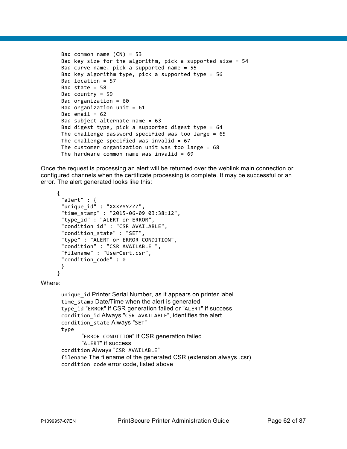```
Bad common name (CN) = 53
Bad key size for the algorithm, pick a supported size = 54
Bad curve name, pick a supported name = 55
Bad key algorithm type, pick a supported type = 56
Bad location = 57
Bad state = 58Bad country = 59
Bad organization = 60
Bad organization unit = 61Bad email = 62Bad subject alternate name = 63
Bad digest type, pick a supported digest type = 64
The challenge password specified was too large = 65
The challenge specified was invalid = 67The customer organization unit was too large = 68The hardware common name was invalid = 69
```
Once the request is processing an alert will be returned over the weblink main connection or configured channels when the certificate processing is complete. It may be successful or an error. The alert generated looks like this:

```
{
 "alert" : {
 "unique_id" : "XXXYYYZZZ",
 "time_stamp" : "2015-06-09 03:38:12",
 "type_id" : "ALERT or ERROR",
 "condition_id" : "CSR AVAILABLE",
 "condition_state" : "SET",
 "type" : "ALERT or ERROR CONDITION",
 "condition" : "CSR AVAILABLE ",
 "filename" : "UserCert.csr",
 "condition code" : 0
 }
}
```
Where:

unique id Printer Serial Number, as it appears on printer label time stamp Date/Time when the alert is generated type\_id "ERROR" if CSR generation failed or "ALERT" if success condition\_id Always "CSR AVAILABLE", identifies the alert condition\_state Always "SET" type "ERROR CONDITION" if CSR generation failed "ALERT" if success condition Always "CSR AVAILABLE" filename The filename of the generated CSR (extension always .csr) condition\_code error code, listed above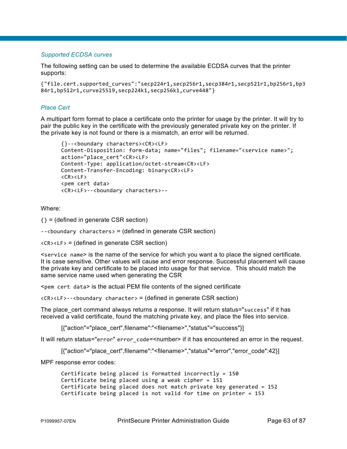### *Supported ECDSA curves*

The following setting can be used to determine the available ECDSA curves that the printer supports:

```
{"file.cert.supported_curves":"secp224r1,secp256r1,secp384r1,secp521r1,bp256r1,bp3
84r1,bp512r1,curve25519,secp224k1,secp256k1,curve448"}
```
### *Place Cert*

A multipart form format to place a certificate onto the printer for usage by the printer. It will try to pair the public key in the certificate with the previously generated private key on the printer. If the private key is not found or there is a mismatch, an error will be returned.

```
{}--<boundary characters><CR><LF>
Content-Disposition: form-data; name="files"; filename="<service name>"; 
action="place_cert"<CR><LF>
Content-Type: application/octet-stream<CR><LF>
Content-Transfer-Encoding: binary<CR><LF>
<CR><LF>
<pem cert data>
<CR><LF>--<boundary characters>--
```
Where:

 $\{\}$  = (defined in generate CSR section)

--<boundary characters> = (defined in generate CSR section)

 $\langle$ CR $\rangle$ <LF $\rangle$  = (defined in generate CSR section)

<service name> is the name of the service for which you want a to place the signed certificate. It is case sensitive. Other values will cause and error response. Successful placement will cause the private key and certificate to be placed into usage for that service. This should match the same service name used when generating the CSR

<pem cert data> is the actual PEM file contents of the signed certificate

 $\langle CR \rangle$  < LF > - - < boundary character > = (defined in generate CSR section)

The place cert command always returns a response. It will return status="success" if it has received a valid certificate, found the matching private key, and place the files into service.

[{"action"="place\_cert",filename":"<filename>","status"="success"}]

It will return status="error" error\_code=<number> if it has encountered an error in the request.

[{"action"="place\_cert",filename":"<filename>","status"="error","error\_code":42}]

MPF response error codes:

```
Certificate being placed is formatted incorrectly = 150
Certificate being placed using a weak cipher = 151
Certificate being placed does not match private key generated = 152
Certificate being placed is not valid for time on printer = 153
```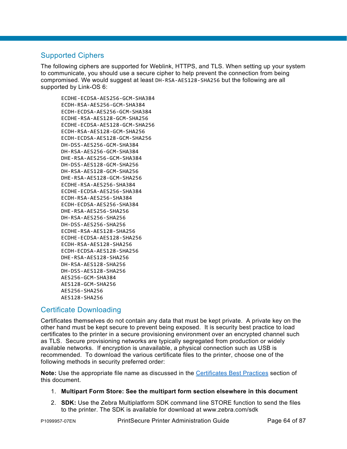# Supported Ciphers

The following ciphers are supported for Weblink, HTTPS, and TLS. When setting up your system to communicate, you should use a secure cipher to help prevent the connection from being compromised. We would suggest at least DH-RSA-AES128-SHA256 but the following are all supported by Link-OS 6:

ECDHE-ECDSA-AES256-GCM-SHA384 ECDH-RSA-AES256-GCM-SHA384 ECDH-ECDSA-AES256-GCM-SHA384 ECDHE-RSA-AES128-GCM-SHA256 ECDHE-ECDSA-AES128-GCM-SHA256 ECDH-RSA-AES128-GCM-SHA256 ECDH-ECDSA-AES128-GCM-SHA256 DH-DSS-AES256-GCM-SHA384 DH-RSA-AES256-GCM-SHA384 DHE-RSA-AES256-GCM-SHA384 DH-DSS-AES128-GCM-SHA256 DH-RSA-AES128-GCM-SHA256 DHE-RSA-AES128-GCM-SHA256 ECDHE-RSA-AES256-SHA384 ECDHE-ECDSA-AES256-SHA384 ECDH-RSA-AES256-SHA384 ECDH-ECDSA-AES256-SHA384 DHE-RSA-AES256-SHA256 DH-RSA-AES256-SHA256 DH-DSS-AES256-SHA256 ECDHE-RSA-AES128-SHA256 ECDHE-ECDSA-AES128-SHA256 ECDH-RSA-AES128-SHA256 ECDH-ECDSA-AES128-SHA256 DHE-RSA-AES128-SHA256 DH-RSA-AES128-SHA256 DH-DSS-AES128-SHA256 AES256-GCM-SHA384 AES128-GCM-SHA256 AES256-SHA256 AES128-SHA256

## Certificate Downloading

Certificates themselves do not contain any data that must be kept private. A private key on the other hand must be kept secure to prevent being exposed. It is security best practice to load certificates to the printer in a secure provisioning environment over an encrypted channel such as TLS. Secure provisioning networks are typically segregated from production or widely available networks. If encryption is unavailable, a physical connection such as USB is recommended. To download the various certificate files to the printer, choose one of the following methods in security preferred order:

**Note:** Use the appropriate file name as discussed in the Certificates Best Practices section of this document.

### 1. **Multipart Form Store: See the multipart form section elsewhere in this document**

2. **SDK:** Use the Zebra Multiplatform SDK command line STORE function to send the files to the printer. The SDK is available for download at www.zebra.com/sdk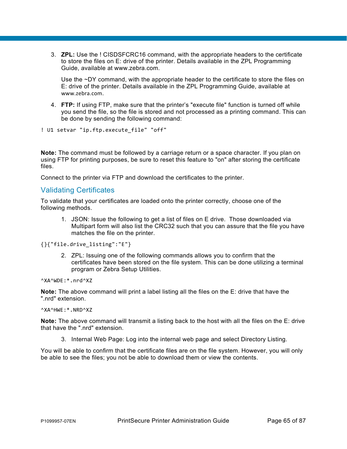3. **ZPL:** Use the ! CISDSFCRC16 command, with the appropriate headers to the certificate to store the files on E: drive of the printer. Details available in the ZPL Programming Guide, available at www.zebra.com.

Use the ~DY command, with the appropriate header to the certificate to store the files on E: drive of the printer. Details available in the ZPL Programming Guide, available at [www.zebra.com](http://www.zebra.com/).

4. **FTP:** If using FTP, make sure that the printer's "execute file" function is turned off while you send the file, so the file is stored and not processed as a printing command. This can be done by sending the following command:

```
! U1 setvar "ip.ftp.execute file" "off"
```
**Note:** The command must be followed by a carriage return or a space character. If you plan on using FTP for printing purposes, be sure to reset this feature to "on" after storing the certificate files.

Connect to the printer via FTP and download the certificates to the printer.

## Validating Certificates

To validate that your certificates are loaded onto the printer correctly, choose one of the following methods.

1. JSON: Issue the following to get a list of files on E drive. Those downloaded via Multipart form will also list the CRC32 such that you can assure that the file you have matches the file on the printer.

{}{"file.drive\_listing":"E"}

2. ZPL: Issuing one of the following commands allows you to confirm that the certificates have been stored on the file system. This can be done utilizing a terminal program or Zebra Setup Utilities.

^XA^WDE:\*.nrd^XZ

**Note:** The above command will print a label listing all the files on the E: drive that have the ".nrd" extension.

^XA^HWE:\*.NRD^XZ

**Note:** The above command will transmit a listing back to the host with all the files on the E: drive that have the ".nrd" extension.

3. Internal Web Page: Log into the internal web page and select Directory Listing.

You will be able to confirm that the certificate files are on the file system. However, you will only be able to see the files; you not be able to download them or view the contents.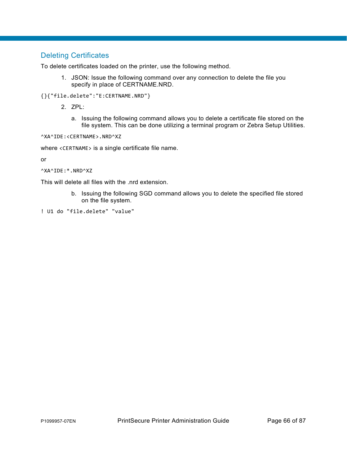# Deleting Certificates

To delete certificates loaded on the printer, use the following method.

- 1. JSON: Issue the following command over any connection to delete the file you specify in place of CERTNAME.NRD.
- {}{"file.delete":"E:CERTNAME.NRD"}
	- 2. ZPL:
		- a. Issuing the following command allows you to delete a certificate file stored on the file system. This can be done utilizing a terminal program or Zebra Setup Utilities.

^XA^IDE:<CERTNAME>.NRD^XZ

where <CERTNAME> is a single certificate file name.

or

```
^XA^IDE:*.NRD^XZ
```
This will delete all files with the .nrd extension.

b. Issuing the following SGD command allows you to delete the specified file stored on the file system.

```
! U1 do "file.delete" "value"
```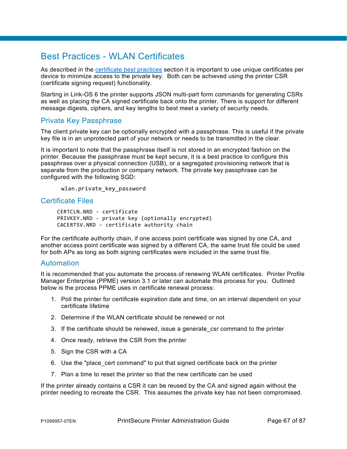# Best Practices - WLAN Certificates

As described in the certificate best practices section it is important to use unique certificates per device to minimize access to the private key. Both can be achieved using the printer CSR (certificate signing request) functionality.

Starting in Link-OS 6 the printer supports JSON multi-part form commands for generating CSRs as well as placing the CA signed certificate back onto the printer. There is support for different message digests, ciphers, and key lengths to best meet a variety of security needs.

### Private Key Passphrase

The client private key can be optionally encrypted with a passphrase. This is useful if the private key file is in an unprotected part of your network or needs to be transmitted in the clear.

It is important to note that the passphrase itself is not stored in an encrypted fashion on the printer. Because the passphrase must be kept secure, it is a best practice to configure this passphrase over a physical connection (USB), or a segregated provisioning network that is separate from the production or company network. The private key passphrase can be configured with the following SGD:

wlan.private\_key\_password

### Certificate Files

CERTCLN.NRD - certificate PRIVKEY.NRD - private key (optionally encrypted) CACERTSV.NRD - certificate authority chain

For the certificate authority chain, if one access point certificate was signed by one CA, and another access point certificate was signed by a different CA, the same trust file could be used for both APs as long as both signing certificates were included in the same trust file.

### Automation

It is recommended that you automate the process of renewing WLAN certificates. Printer Profile Manager Enterprise (PPME) version 3.1 or later can automate this process for you. Outlined below is the process PPME uses in certificate renewal process:

- 1. Poll the printer for certificate expiration date and time, on an interval dependent on your certificate lifetime
- 2. Determine if the WLAN certificate should be renewed or not
- 3. If the certificate should be renewed, issue a generate\_csr command to the printer
- 4. Once ready, retrieve the CSR from the printer
- 5. Sign the CSR with a CA
- 6. Use the "place\_cert command" to put that signed certificate back on the printer
- 7. Plan a time to reset the printer so that the new certificate can be used

If the printer already contains a CSR it can be reused by the CA and signed again without the printer needing to recreate the CSR. This assumes the private key has not been compromised.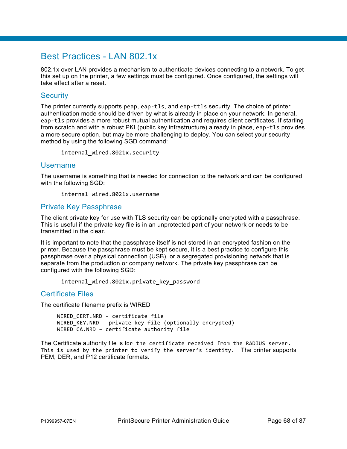# Best Practices - LAN 802.1x

802.1x over LAN provides a mechanism to authenticate devices connecting to a network. To get this set up on the printer, a few settings must be configured. Once configured, the settings will take effect after a reset.

### **Security**

The printer currently supports peap, eap-tls, and eap-ttls security. The choice of printer authentication mode should be driven by what is already in place on your network. In general, eap-tls provides a more robust mutual authentication and requires client certificates. If starting from scratch and with a robust PKI (public key infrastructure) already in place, eap-tls provides a more secure option, but may be more challenging to deploy. You can select your security method by using the following SGD command:

internal\_wired.8021x.security

### Username

The username is something that is needed for connection to the network and can be configured with the following SGD:

internal\_wired.8021x.username

### Private Key Passphrase

The client private key for use with TLS security can be optionally encrypted with a passphrase. This is useful if the private key file is in an unprotected part of your network or needs to be transmitted in the clear.

It is important to note that the passphrase itself is not stored in an encrypted fashion on the printer. Because the passphrase must be kept secure, it is a best practice to configure this passphrase over a physical connection (USB), or a segregated provisioning network that is separate from the production or company network. The private key passphrase can be configured with the following SGD:

internal wired.8021x.private key password

### Certificate Files

The certificate filename prefix is WIRED

WIRED CERT.NRD - certificate file WIRED\_KEY.NRD – private key file (optionally encrypted) WIRED\_CA.NRD – certificate authority file

The Certificate authority file is for the certificate received from the RADIUS server. This is used by the printer to verify the server's identity. The printer supports PEM, DER, and P12 certificate formats.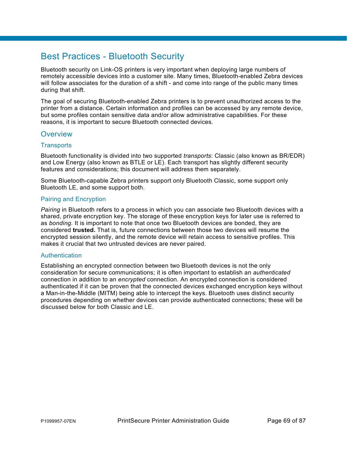# Best Practices - Bluetooth Security

Bluetooth security on Link-OS printers is very important when deploying large numbers of remotely accessible devices into a customer site. Many times, Bluetooth-enabled Zebra devices will follow associates for the duration of a shift - and come into range of the public many times during that shift.

The goal of securing Bluetooth-enabled Zebra printers is to prevent unauthorized access to the printer from a distance. Certain information and profiles can be accessed by any remote device, but some profiles contain sensitive data and/or allow administrative capabilities. For these reasons, it is important to secure Bluetooth connected devices.

### **Overview**

### **Transports**

Bluetooth functionality is divided into two supported *transports*: Classic (also known as BR/EDR) and Low Energy (also known as BTLE or LE). Each transport has slightly different security features and considerations; this document will address them separately.

Some Bluetooth-capable Zebra printers support only Bluetooth Classic, some support only Bluetooth LE, and some support both.

### Pairing and Encryption

*Pairing* in Bluetooth refers to a process in which you can associate two Bluetooth devices with a shared, private encryption key. The storage of these encryption keys for later use is referred to as *bonding.* It is important to note that once two Bluetooth devices are bonded, they are considered **trusted.** That is, future connections between those two devices will resume the encrypted session silently, and the remote device will retain access to sensitive profiles. This makes it crucial that two untrusted devices are never paired.

### **Authentication**

Establishing an encrypted connection between two Bluetooth devices is not the only consideration for secure communications; it is often important to establish an *authenticated* connection in addition to an *encrypted* connection. An encrypted connection is considered authenticated if it can be proven that the connected devices exchanged encryption keys without a Man-in-the-Middle (MITM) being able to intercept the keys. Bluetooth uses distinct security procedures depending on whether devices can provide authenticated connections; these will be discussed below for both Classic and LE.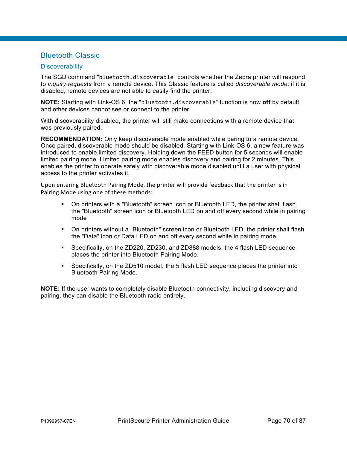## Bluetooth Classic

### **Discoverability**

The SGD command "bluetooth.discoverable" controls whether the Zebra printer will respond to *inquiry requests* from a remote device. This Classic feature is called *discoverable mode*: if it is disabled, remote devices are not able to easily find the printer.

**NOTE:** Starting with Link-OS 6, the "bluetooth.discoverable" function is now **off** by default and other devices cannot see or connect to the printer.

With discoverability disabled, the printer will still make connections with a remote device that was previously paired.

**RECOMMENDATION:** Only keep discoverable mode enabled while paring to a remote device. Once paired, discoverable mode should be disabled. Starting with Link-OS 6, a new feature was introduced to enable limited discovery. Holding down the FEED button for 5 seconds will enable limited pairing mode. Limited pairing mode enables discovery and pairing for 2 minutes. This enables the printer to operate safely with discoverable mode disabled until a user with physical access to the printer activates it.

Upon entering Bluetooth Pairing Mode, the printer will provide feedback that the printer is in Pairing Mode using one of these methods:

- On printers with a "Bluetooth" screen icon or Bluetooth LED, the printer shall flash the "Bluetooth" screen icon or Bluetooth LED on and off every second while in pairing mode
- On printers without a "Bluetooth" screen icon or Bluetooth LED, the printer shall flash the "Data" icon or Data LED on and off every second while in pairing mode
- Specifically, on the ZD220, ZD230, and ZD888 models, the 4 flash LED sequence places the printer into Bluetooth Pairing Mode.
- Specifically, on the ZD510 model, the 5 flash LED sequence places the printer into Bluetooth Pairing Mode.

**NOTE:** If the user wants to completely disable Bluetooth connectivity, including discovery and pairing, they can disable the Bluetooth radio entirely.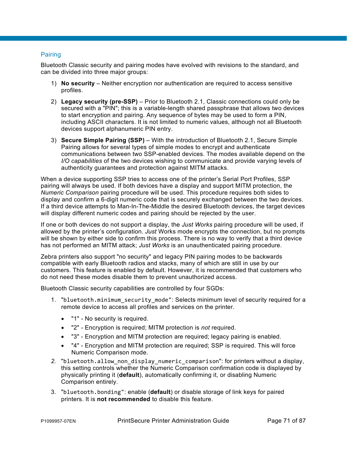### Pairing

Bluetooth Classic security and pairing modes have evolved with revisions to the standard, and can be divided into three major groups:

- 1) **No security** Neither encryption nor authentication are required to access sensitive profiles.
- 2) **Legacy security (pre-SSP)** Prior to Bluetooth 2.1, Classic connections could only be secured with a "PIN"; this is a variable-length shared passphrase that allows two devices to start encryption and pairing. Any sequence of bytes may be used to form a PIN, including ASCII characters. It is not limited to numeric values, although not all Bluetooth devices support alphanumeric PIN entry.
- 3) **Secure Simple Pairing (SSP)**  With the introduction of Bluetooth 2.1, Secure Simple Pairing allows for several types of simple modes to encrypt and authenticate communications between two SSP-enabled devices. The modes available depend on the *I/O capabilities* of the two devices wishing to communicate and provide varying levels of authenticity guarantees and protection against MITM attacks.

When a device supporting SSP tries to access one of the printer's Serial Port Profiles, SSP pairing will always be used. If both devices have a display and support MITM protection, the *Numeric Comparison* pairing procedure will be used. This procedure requires both sides to display and confirm a 6-digit numeric code that is securely exchanged between the two devices. If a third device attempts to Man-In-The-Middle the desired Bluetooth devices, the target devices will display different numeric codes and pairing should be rejected by the user.

If one or both devices do not support a display, the *Just Works* pairing procedure will be used, if allowed by the printer's configuration. *Just* Works mode encrypts the connection, but no prompts will be shown by either side to confirm this process. There is no way to verify that a third device has not performed an MITM attack; *Just Works* is an unauthenticated pairing procedure.

Zebra printers also support "no security" and legacy PIN pairing modes to be backwards compatible with early Bluetooth radios and stacks, many of which are still in use by our customers. This feature is enabled by default. However, it is recommended that customers who do not need these modes disable them to prevent unauthorized access.

Bluetooth Classic security capabilities are controlled by four SGDs:

- 1. "bluetooth.minimum security mode": Selects minimum level of security required for a remote device to access all profiles and services on the printer.
	- "1" No security is required.
	- "2" Encryption is required; MITM protection is *not* required.
	- "3" Encryption and MITM protection are required; legacy pairing is enabled.
	- "4" Encryption and MITM protection are required; SSP is required. This will force Numeric Comparison mode.
- *2.* "bluetooth.allow\_non\_display\_numeric\_comparison": for printers without a display, this setting controls whether the Numeric Comparison confirmation code is displayed by physically printing it (**default**), automatically confirming it, or disabling Numeric Comparison entirely.
- 3. "bluetooth.bonding": enable (**default**) or disable storage of link keys for paired printers. It is **not recommended** to disable this feature.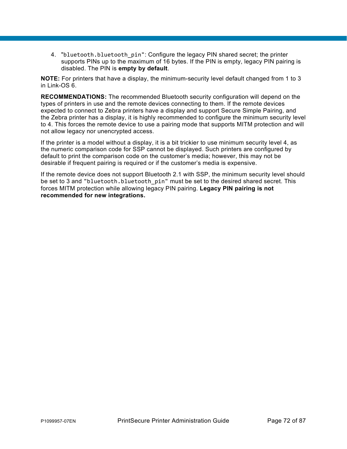4. "bluetooth.bluetooth\_pin": Configure the legacy PIN shared secret; the printer supports PINs up to the maximum of 16 bytes. If the PIN is empty, legacy PIN pairing is disabled. The PIN is **empty by default**.

**NOTE:** For printers that have a display, the minimum-security level default changed from 1 to 3 in Link-OS 6.

**RECOMMENDATIONS:** The recommended Bluetooth security configuration will depend on the types of printers in use and the remote devices connecting to them. If the remote devices expected to connect to Zebra printers have a display and support Secure Simple Pairing, and the Zebra printer has a display, it is highly recommended to configure the minimum security level to 4. This forces the remote device to use a pairing mode that supports MITM protection and will not allow legacy nor unencrypted access.

If the printer is a model without a display, it is a bit trickier to use minimum security level 4, as the numeric comparison code for SSP cannot be displayed. Such printers are configured by default to print the comparison code on the customer's media; however, this may not be desirable if frequent pairing is required or if the customer's media is expensive.

If the remote device does not support Bluetooth 2.1 with SSP, the minimum security level should be set to 3 and "bluetooth.bluetooth pin" must be set to the desired shared secret. This forces MITM protection while allowing legacy PIN pairing. **Legacy PIN pairing is not recommended for new integrations.**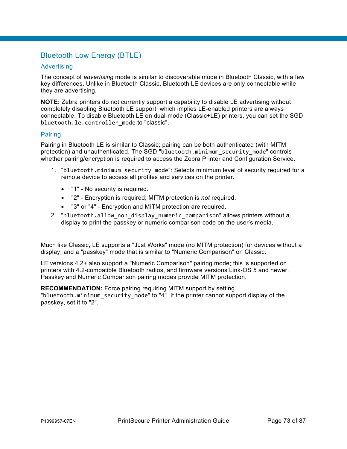## Bluetooth Low Energy (BTLE)

#### Advertising

The concept of *advertising* mode is similar to discoverable mode in Bluetooth Classic, with a few key differences. Unlike in Bluetooth Classic, Bluetooth LE devices are only connectable while they are advertising.

**NOTE:** Zebra printers do not currently support a capability to disable LE advertising without completely disabling Bluetooth LE support, which implies LE-enabled printers are always connectable. To disable Bluetooth LE on dual-mode (Classic+LE) printers, you can set the SGD bluetooth.le.controller\_mode to "classic".

#### Pairing

Pairing in Bluetooth LE is similar to Classic; pairing can be both authenticated (with MITM protection) and unauthenticated. The SGD "bluetooth.minimum\_security\_mode" controls whether pairing/encryption is required to access the Zebra Printer and Configuration Service.

- 1. "bluetooth.minimum security mode": Selects minimum level of security required for a remote device to access all profiles and services on the printer.
	- "1" No security is required.
	- "2" Encryption is required; MITM protection is *not* required.
	- "3" or "4" Encryption and MITM protection are required.
- 2. "bluetooth.allow non display numeric comparison" allows printers without a display to print the passkey or numeric comparison code on the user's media.

Much like Classic, LE supports a "Just Works" mode (no MITM protection) for devices without a display, and a "passkey" mode that is similar to "Numeric Comparison" on Classic.

LE versions 4.2+ also support a "Numeric Comparison" pairing mode; this is supported on printers with 4.2-compatible Bluetooth radios, and firmware versions Link-OS 5 and newer. Passkey and Numeric Comparison pairing modes provide MITM protection.

**RECOMMENDATION:** Force pairing requiring MITM support by setting "bluetooth.minimum\_security\_mode" to "4". If the printer cannot support display of the passkey, set it to "2".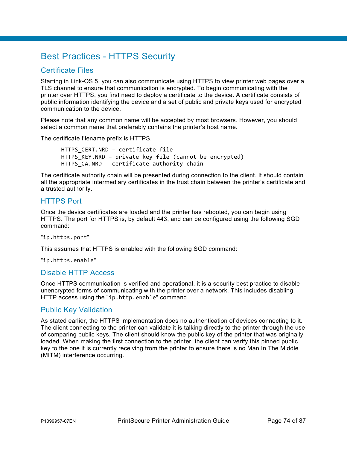## Best Practices - HTTPS Security

## Certificate Files

Starting in Link-OS 5, you can also communicate using HTTPS to view printer web pages over a TLS channel to ensure that communication is encrypted. To begin communicating with the printer over HTTPS, you first need to deploy a certificate to the device. A certificate consists of public information identifying the device and a set of public and private keys used for encrypted communication to the device.

Please note that any common name will be accepted by most browsers. However, you should select a common name that preferably contains the printer's host name.

The certificate filename prefix is HTTPS.

HTTPS\_CERT.NRD – certificate file HTTPS KEY.NRD – private key file (cannot be encrypted) HTTPS CA.NRD - certificate authority chain

The certificate authority chain will be presented during connection to the client. It should contain all the appropriate intermediary certificates in the trust chain between the printer's certificate and a trusted authority.

### HTTPS Port

Once the device certificates are loaded and the printer has rebooted, you can begin using HTTPS. The port for HTTPS is, by default 443, and can be configured using the following SGD command:

"ip.https.port"

This assumes that HTTPS is enabled with the following SGD command:

"ip.https.enable"

#### Disable HTTP Access

Once HTTPS communication is verified and operational, it is a security best practice to disable unencrypted forms of communicating with the printer over a network. This includes disabling HTTP access using the "ip.http.enable" command.

### Public Key Validation

As stated earlier, the HTTPS implementation does no authentication of devices connecting to it. The client connecting to the printer can validate it is talking directly to the printer through the use of comparing public keys. The client should know the public key of the printer that was originally loaded. When making the first connection to the printer, the client can verify this pinned public key to the one it is currently receiving from the printer to ensure there is no Man In The Middle (MITM) interference occurring.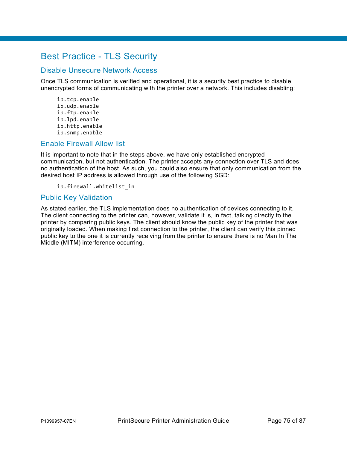## Best Practice - TLS Security

### Disable Unsecure Network Access

Once TLS communication is verified and operational, it is a security best practice to disable unencrypted forms of communicating with the printer over a network. This includes disabling:

ip.tcp.enable ip.udp.enable ip.ftp.enable ip.lpd.enable ip.http.enable ip.snmp.enable

### Enable Firewall Allow list

It is important to note that in the steps above, we have only established encrypted communication, but not authentication. The printer accepts any connection over TLS and does no authentication of the host. As such, you could also ensure that only communication from the desired host IP address is allowed through use of the following SGD:

ip.firewall.whitelist\_in

### Public Key Validation

As stated earlier, the TLS implementation does no authentication of devices connecting to it. The client connecting to the printer can, however, validate it is, in fact, talking directly to the printer by comparing public keys. The client should know the public key of the printer that was originally loaded. When making first connection to the printer, the client can verify this pinned public key to the one it is currently receiving from the printer to ensure there is no Man In The Middle (MITM) interference occurring.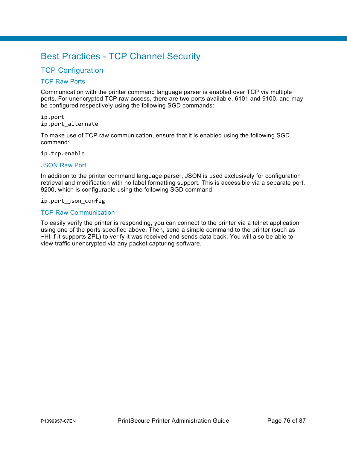## Best Practices - TCP Channel Security

## **TCP Configuration**

#### TCP Raw Ports

Communication with the printer command language parser is enabled over TCP via multiple ports. For unencrypted TCP raw access, there are two ports available, 6101 and 9100, and may be configured respectively using the following SGD commands:

ip.port ip.port\_alternate

To make use of TCP raw communication, ensure that it is enabled using the following SGD command:

ip.tcp.enable

#### JSON Raw Port

In addition to the printer command language parser, JSON is used exclusively for configuration retrieval and modification with no label formatting support. This is accessible via a separate port, 9200, which is configurable using the following SGD command:

ip.port\_json\_config

#### TCP Raw Communication

To easily verify the printer is responding, you can connect to the printer via a telnet application using one of the ports specified above. Then, send a simple command to the printer (such as ~HI if it supports ZPL) to verify it was received and sends data back. You will also be able to view traffic unencrypted via any packet capturing software.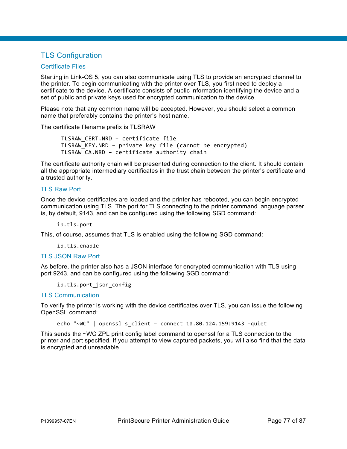## TLS Configuration

#### Certificate Files

Starting in Link-OS 5, you can also communicate using TLS to provide an encrypted channel to the printer. To begin communicating with the printer over TLS, you first need to deploy a certificate to the device. A certificate consists of public information identifying the device and a set of public and private keys used for encrypted communication to the device.

Please note that any common name will be accepted. However, you should select a common name that preferably contains the printer's host name.

The certificate filename prefix is TLSRAW

TLSRAW\_CERT.NRD – certificate file TLSRAW\_KEY.NRD – private key file (cannot be encrypted) TLSRAW\_CA.NRD – certificate authority chain

The certificate authority chain will be presented during connection to the client. It should contain all the appropriate intermediary certificates in the trust chain between the printer's certificate and a trusted authority.

#### TLS Raw Port

Once the device certificates are loaded and the printer has rebooted, you can begin encrypted communication using TLS. The port for TLS connecting to the printer command language parser is, by default, 9143, and can be configured using the following SGD command:

ip.tls.port

This, of course, assumes that TLS is enabled using the following SGD command:

ip.tls.enable

#### TLS JSON Raw Port

As before, the printer also has a JSON interface for encrypted communication with TLS using port 9243, and can be configured using the following SGD command:

ip.tls.port\_json\_config

#### TLS Communication

To verify the printer is working with the device certificates over TLS, you can issue the following OpenSSL command:

echo "~WC" | openssl s\_client – connect 10.80.124.159:9143 -quiet

This sends the ~WC ZPL print config label command to openssl for a TLS connection to the printer and port specified. If you attempt to view captured packets, you will also find that the data is encrypted and unreadable.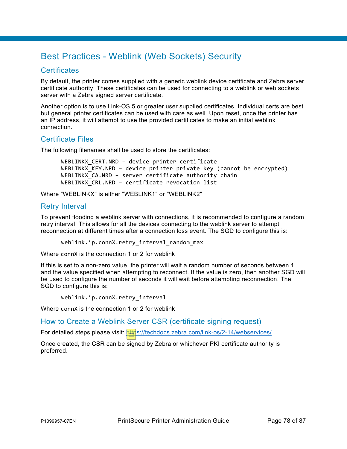## Best Practices - Weblink (Web Sockets) Security

## **Certificates**

By default, the printer comes supplied with a generic weblink device certificate and Zebra server certificate authority. These certificates can be used for connecting to a weblink or web sockets server with a Zebra signed server certificate.

Another option is to use Link-OS 5 or greater user supplied certificates. Individual certs are best but general printer certificates can be used with care as well. Upon reset, once the printer has an IP address, it will attempt to use the provided certificates to make an initial weblink connection.

### Certificate Files

The following filenames shall be used to store the certificates:

WEBLINKX\_CERT.NRD – device printer certificate WEBLINKX\_KEY.NRD – device printer private key (cannot be encrypted) WEBLINKX CA.NRD - server certificate authority chain WEBLINKX CRL.NRD - certificate revocation list

Where "WEBLINKX" is either "WEBLINK1" or "WEBLINK2"

### Retry Interval

To prevent flooding a weblink server with connections, it is recommended to configure a random retry interval. This allows for all the devices connecting to the weblink server to attempt reconnection at different times after a connection loss event. The SGD to configure this is:

weblink.ip.connX.retry\_interval\_random\_max

Where connX is the connection 1 or 2 for weblink

If this is set to a non-zero value, the printer will wait a random number of seconds between 1 and the value specified when attempting to reconnect. If the value is zero, then another SGD will be used to configure the number of seconds it will wait before attempting reconnection. The SGD to configure this is:

weblink.ip.connX.retry\_interval

Where connX is the connection 1 or 2 for weblink

How to Create a Weblink Server CSR (certificate signing request)

For detailed steps please visit:<https://techdocs.zebra.com/link-os/2-14/webservices/>

Once created, the CSR can be signed by Zebra or whichever PKI certificate authority is preferred.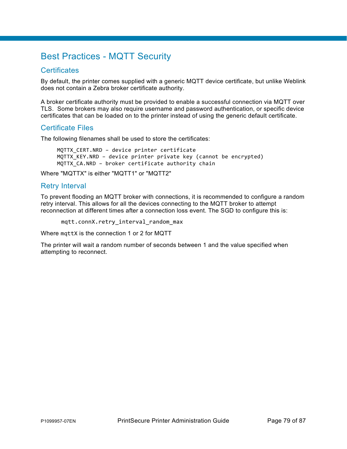## Best Practices - MQTT Security

## **Certificates**

By default, the printer comes supplied with a generic MQTT device certificate, but unlike Weblink does not contain a Zebra broker certificate authority.

A broker certificate authority must be provided to enable a successful connection via MQTT over TLS. Some brokers may also require username and password authentication, or specific device certificates that can be loaded on to the printer instead of using the generic default certificate.

## Certificate Files

The following filenames shall be used to store the certificates:

MQTTX CERT.NRD - device printer certificate MQTTX KEY.NRD – device printer private key (cannot be encrypted) MQTTX CA.NRD - broker certificate authority chain

Where "MQTTX" is either "MQTT1" or "MQTT2"

## Retry Interval

To prevent flooding an MQTT broker with connections, it is recommended to configure a random retry interval. This allows for all the devices connecting to the MQTT broker to attempt reconnection at different times after a connection loss event. The SGD to configure this is:

mqtt.connX.retry\_interval\_random\_max

Where mqttX is the connection 1 or 2 for MQTT

The printer will wait a random number of seconds between 1 and the value specified when attempting to reconnect.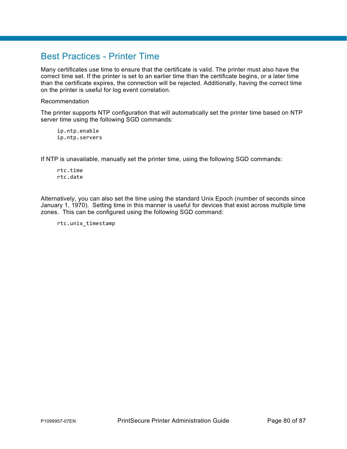## Best Practices - Printer Time

Many certificates use time to ensure that the certificate is valid. The printer must also have the correct time set. If the printer is set to an earlier time than the certificate begins, or a later time than the certificate expires, the connection will be rejected. Additionally, having the correct time on the printer is useful for log event correlation.

Recommendation

The printer supports NTP configuration that will automatically set the printer time based on NTP server time using the following SGD commands:

ip.ntp.enable ip.ntp.servers

If NTP is unavailable, manually set the printer time, using the following SGD commands:

rtc.time rtc.date

Alternatively, you can also set the time using the standard Unix Epoch (number of seconds since January 1, 1970). Setting time in this manner is useful for devices that exist across multiple time zones. This can be configured using the following SGD command:

rtc.unix\_timestamp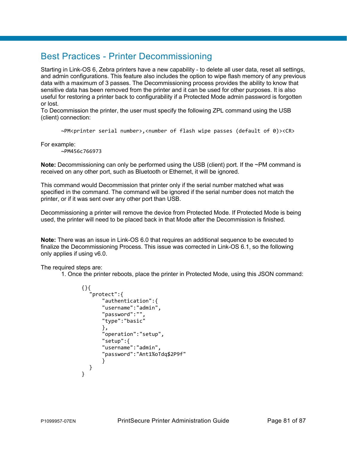## Best Practices - Printer Decommissioning

Starting in Link-OS 6, Zebra printers have a new capability - to delete all user data, reset all settings, and admin configurations. This feature also includes the option to wipe flash memory of any previous data with a maximum of 3 passes. The Decommissioning process provides the ability to know that sensitive data has been removed from the printer and it can be used for other purposes. It is also useful for restoring a printer back to configurability if a Protected Mode admin password is forgotten or lost.

To Decommission the printer, the user must specify the following ZPL command using the USB (client) connection:

~PM<printer serial number>,<number of flash wipe passes (default of 0)><CR>

For example:

~PM456c766973

**Note:** Decommissioning can only be performed using the USB (client) port. If the ~PM command is received on any other port, such as Bluetooth or Ethernet, it will be ignored.

This command would Decommission that printer only if the serial number matched what was specified in the command. The command will be ignored if the serial number does not match the printer, or if it was sent over any other port than USB.

Decommissioning a printer will remove the device from Protected Mode. If Protected Mode is being used, the printer will need to be placed back in that Mode after the Decommission is finished.

**Note:** There was an issue in Link-OS 6.0 that requires an additional sequence to be executed to finalize the Decommissioning Process. This issue was corrected in Link-OS 6.1, so the following only applies if using v6.0.

The required steps are:

1. Once the printer reboots, place the printer in Protected Mode, using this JSON command:

```
{}{ 
   "protect":{ 
       "authentication":{ 
       "username":"admin", 
       "password":"", 
       "type":"basic" 
       }, 
       "operation":"setup", 
       "setup":{ 
       "username":"admin", 
       "password":"Ant1%oTdq$2P9f" 
       } 
  } 
}
```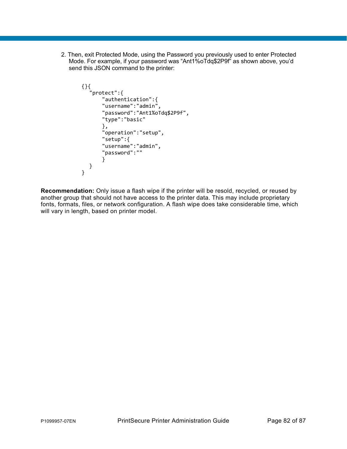2. Then, exit Protected Mode, using the Password you previously used to enter Protected Mode. For example, if your password was "Ant1%oTdq\$2P9f" as shown above, you'd send this JSON command to the printer:

```
{}{ 
   "protect":{ 
       "authentication":{ 
       "username":"admin", 
       "password":"Ant1%oTdq$2P9f", 
       "type":"basic" 
       }, 
       "operation":"setup", 
       "setup":{ 
       "username":"admin", 
       "password":"" 
       } 
  } 
}
```
**Recommendation:** Only issue a flash wipe if the printer will be resold, recycled, or reused by another group that should not have access to the printer data. This may include proprietary fonts, formats, files, or network configuration. A flash wipe does take considerable time, which will vary in length, based on printer model.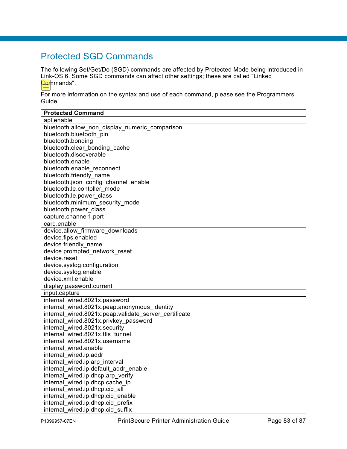## Protected SGD Commands

The following Set/Get/Do (SGD) commands are affected by Protected Mode being introduced in Link-OS 6. Some SGD commands can affect other settings; these are called "Linked <mark>Gor</mark>nmands".

For more information on the syntax and use of each command, please see the Programmers Guide.

| <b>Protected Command</b>                              |  |
|-------------------------------------------------------|--|
| apl.enable                                            |  |
| bluetooth.allow non display numeric comparison        |  |
| bluetooth.bluetooth pin                               |  |
| bluetooth.bonding                                     |  |
| bluetooth.clear bonding cache                         |  |
| bluetooth.discoverable                                |  |
| bluetooth.enable                                      |  |
| bluetooth.enable reconnect                            |  |
| bluetooth.friendly name                               |  |
| bluetooth.json config channel enable                  |  |
| bluetooth.le.contoller mode                           |  |
| bluetooth.le.power class                              |  |
| bluetooth.minimum security mode                       |  |
| bluetooth.power class                                 |  |
| capture.channel1.port                                 |  |
| card.enable                                           |  |
| device.allow firmware downloads                       |  |
| device.fips.enabled                                   |  |
| device.friendly name                                  |  |
| device.prompted network reset                         |  |
| device.reset                                          |  |
| device.syslog.configuration                           |  |
| device.syslog.enable                                  |  |
| device.xml.enable                                     |  |
| display.password.current                              |  |
| input.capture                                         |  |
| internal wired.8021x.password                         |  |
| internal wired.8021x.peap.anonymous identity          |  |
| internal wired.8021x.peap.validate server certificate |  |
| internal wired.8021x.privkey password                 |  |
| internal wired.8021x.security                         |  |
| internal wired.8021x.ttls tunnel                      |  |
| internal wired.8021x.username                         |  |
| internal wired.enable                                 |  |
| internal wired.ip.addr                                |  |
| internal wired.ip.arp interval                        |  |
| internal_wired.ip.default_addr_enable                 |  |
| internal wired.ip.dhcp.arp verify                     |  |
| internal wired.ip.dhcp.cache ip                       |  |
| internal wired.ip.dhcp.cid all                        |  |
| internal_wired.ip.dhcp.cid_enable                     |  |
| internal wired.ip.dhcp.cid prefix                     |  |
| internal wired.ip.dhcp.cid suffix                     |  |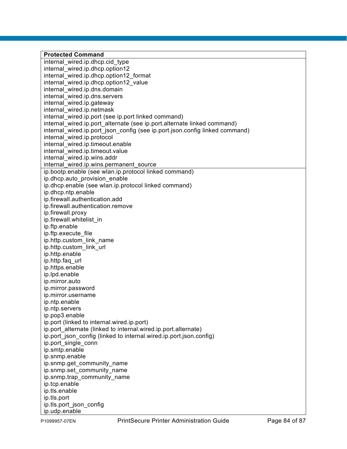**Protected Command** internal\_wired.ip.dhcp.cid\_type internal\_wired.ip.dhcp.option12 internal\_wired.ip.dhcp.option12\_format internal wired.ip.dhcp.option12 value internal\_wired.ip.dns.domain internal\_wired.ip.dns.servers internal\_wired.ip.gateway internal\_wired.ip.netmask internal wired.ip.port (see ip.port linked command) internal wired.ip.port alternate (see ip.port.alternate linked command) internal wired.ip.port json config (see ip.port.json.config linked command) internal\_wired.ip.protocol internal\_wired.ip.timeout.enable internal\_wired.ip.timeout.value internal\_wired.ip.wins.addr internal wired.ip.wins.permanent source ip.bootp.enable (see wlan.ip.protocol linked command) ip.dhcp.auto\_provision\_enable ip.dhcp.enable (see wlan.ip.protocol linked command) ip.dhcp.ntp.enable ip.firewall.authentication.add ip.firewall.authentication.remove ip.firewall.proxy ip.firewall.whitelist\_in ip.ftp.enable ip.ftp.execute\_file ip.http.custom\_link\_name ip.http.custom\_link\_url ip.http.enable ip.http.faq\_url ip.https.enable ip.lpd.enable ip.mirror.auto ip.mirror.password ip.mirror.username ip.ntp.enable ip.ntp.servers ip.pop3.enable ip.port (linked to internal.wired.ip.port) ip.port\_alternate (linked to internal.wired.ip.port.alternate) ip.port json\_config (linked to internal.wired.ip.port.json.config) ip.port\_single\_conn ip.smtp.enable ip.snmp.enable ip.snmp.get\_community\_name ip.snmp.set\_community\_name ip.snmp.trap\_community\_name ip.tcp.enable ip.tls.enable ip.tls.port ip.tls.port\_json\_config ip.udp.enable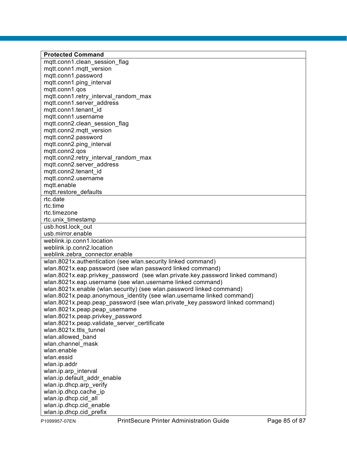**Protected Command** mqtt.conn1.clean\_session\_flag mqtt.conn1.mqtt\_version mqtt.conn1.password mqtt.conn1.ping\_interval mqtt.conn1.qos mqtt.conn1.retry\_interval\_random\_max mqtt.conn1.server\_address mqtt.conn1.tenant\_id mqtt.conn1.username mqtt.conn2.clean\_session\_flag mqtt.conn2.mqtt\_version mqtt.conn2.password mqtt.conn2.ping\_interval mqtt.conn2.qos mqtt.conn2.retry\_interval\_random\_max mqtt.conn2.server\_address mqtt.conn2.tenant\_id mqtt.conn2.username mqtt.enable mqtt.restore\_defaults rtc.date rtc.time rtc.timezone rtc.unix\_timestamp usb.host.lock\_out usb.mirror.enable weblink.ip.conn1.location weblink.ip.conn2.location weblink.zebra\_connector.enable wlan.8021x.authentication (see wlan.security linked command) wlan.8021x.eap.password (see wlan password linked command) wlan.8021x.eap.privkey\_password (see wlan.private.key.password linked command) wlan.8021x.eap.username (see wlan.username linked command) wlan.8021x.enable (wlan.security) (see wlan.password linked command) wlan.8021x.peap.anonymous identity (see wlan.username linked command) wlan.8021x.peap.peap\_password (see wlan.private\_key.password linked command) wlan.8021x.peap.peap\_username wlan.8021x.peap.privkey\_password wlan.8021x.peap.validate server certificate wlan.8021x.ttls\_tunnel wlan.allowed\_band wlan.channel\_mask wlan enable wlan.essid wlan.ip.addr wlan.ip.arp\_interval wlan.ip.default\_addr\_enable wlan.ip.dhcp.arp\_verify wlan.ip.dhcp.cache\_ip wlan.ip.dhcp.cid\_all wlan.ip.dhcp.cid\_enable wlan.ip.dhcp.cid\_prefix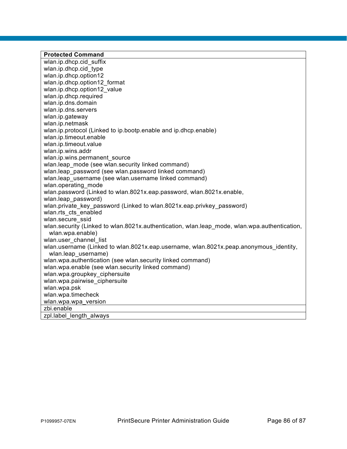#### **Protected Command** wlan.ip.dhcp.cid\_suffix wlan.ip.dhcp.cid\_type wlan.ip.dhcp.option12 wlan.ip.dhcp.option12\_format wlan.ip.dhcp.option12\_value wlan.ip.dhcp.required wlan.ip.dns.domain wlan.ip.dns.servers wlan.ip.gateway wlan.ip.netmask wlan.ip.protocol (Linked to ip.bootp.enable and ip.dhcp.enable) wlan.ip.timeout.enable wlan.ip.timeout.value wlan.ip.wins.addr wlan.ip.wins.permanent\_source wlan.leap mode (see wlan.security linked command) wlan.leap\_password (see wlan.password linked command) wlan.leap username (see wlan.username linked command) wlan.operating\_mode wlan.password (Linked to wlan.8021x.eap.password, wlan.8021x.enable, wlan.leap\_password) wlan.private\_key\_password (Linked to wlan.8021x.eap.privkey\_password) wlan.rts\_cts\_enabled wlan.secure\_ssid wlan.security (Linked to wlan.8021x.authentication, wlan.leap\_mode, wlan.wpa.authentication, wlan.wpa.enable) wlan.user channel list wlan.username (Linked to wlan.8021x.eap.username, wlan.8021x.peap.anonymous identity, wlan.leap\_username) wlan.wpa.authentication (see wlan.security linked command) wlan.wpa.enable (see wlan.security linked command) wlan.wpa.groupkey ciphersuite wlan.wpa.pairwise ciphersuite wlan.wpa.psk wlan.wpa.timecheck wlan.wpa.wpa\_version zbi.enable zpl.label\_length\_always